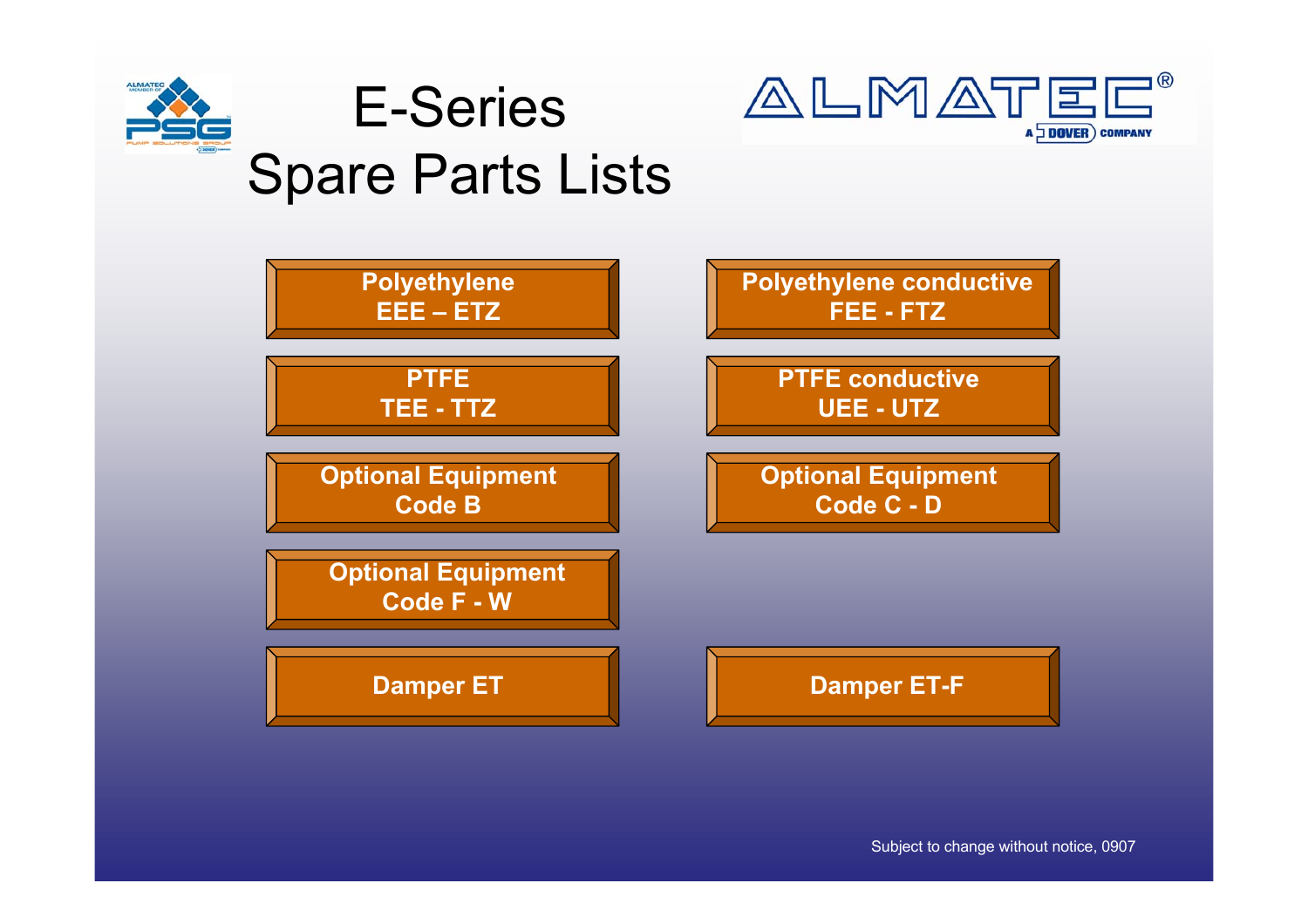







Subject to change without notice, 0907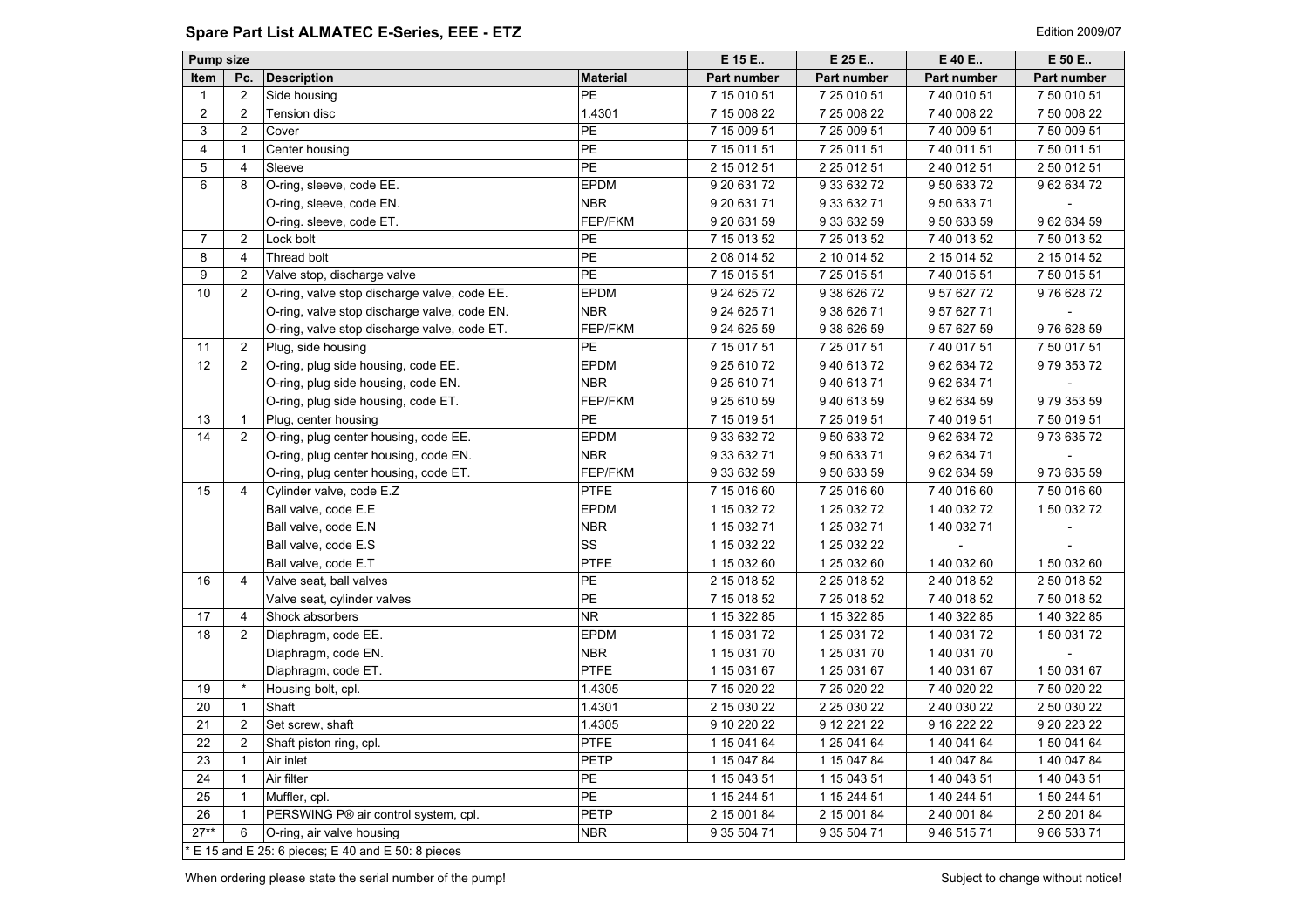# <span id="page-1-0"></span>**Spare Part List ALMATEC E-Series, EEE - ETZ Edition 2009/07** Edition 2009/07

| <b>Pump size</b> |                         |                                                  |                 | E 15 E       | E 25 E       | E 40 E       | E 50 E       |
|------------------|-------------------------|--------------------------------------------------|-----------------|--------------|--------------|--------------|--------------|
| Item             | Pc.                     | <b>Description</b>                               | <b>Material</b> | Part number  | Part number  | Part number  | Part number  |
| $\mathbf{1}$     | $\overline{2}$          | Side housing                                     | PE              | 7 15 010 51  | 7 25 010 51  | 7 40 010 51  | 7 50 010 51  |
| $\overline{2}$   | $\overline{c}$          | Tension disc                                     | 1.4301          | 7 15 008 22  | 7 25 008 22  | 7 40 008 22  | 7 50 008 22  |
| 3                | 2                       | Cover                                            | <b>PE</b>       | 7 15 009 51  | 7 25 009 51  | 7 40 009 51  | 7 50 009 51  |
| $\overline{4}$   | $\mathbf{1}$            | Center housing                                   | <b>PE</b>       | 7 15 011 51  | 7 25 011 51  | 7 40 011 51  | 7 50 011 51  |
| 5                | $\overline{\mathbf{4}}$ | Sleeve                                           | PE              | 2 15 012 51  | 2 25 012 51  | 2 40 012 51  | 2 50 012 51  |
| 6                | 8                       | O-ring, sleeve, code EE.                         | <b>EPDM</b>     | 9 20 631 72  | 9 33 632 72  | 9 50 633 72  | 96263472     |
|                  |                         | O-ring, sleeve, code EN.                         | <b>NBR</b>      | 9 20 631 71  | 9 33 632 71  | 9 50 633 71  |              |
|                  |                         | O-ring. sleeve, code ET.                         | FEP/FKM         | 9 20 631 59  | 9 33 632 59  | 9 50 633 59  | 9 62 634 59  |
| $\overline{7}$   | 2                       | Lock bolt                                        | PE              | 7 15 013 52  | 7 25 013 52  | 7 40 013 52  | 7 50 013 52  |
| 8                | $\overline{4}$          | Thread bolt                                      | PE              | 2 08 014 52  | 2 10 014 52  | 2 15 0 14 52 | 2 15 0 14 52 |
| 9                | $\overline{2}$          | Valve stop, discharge valve                      | PE              | 7 15 0 15 51 | 7 25 015 51  | 7 40 015 51  | 7 50 015 51  |
| 10               | 2                       | O-ring, valve stop discharge valve, code EE.     | <b>EPDM</b>     | 9 24 6 25 72 | 9 38 6 26 72 | 9 57 627 72  | 976 628 72   |
|                  |                         | O-ring, valve stop discharge valve, code EN.     | <b>NBR</b>      | 9 24 6 25 71 | 9 38 6 26 71 | 9 57 627 71  |              |
|                  |                         | O-ring, valve stop discharge valve, code ET.     | FEP/FKM         | 9 24 6 25 59 | 9 38 6 26 59 | 9 57 627 59  | 976 628 59   |
| 11               | $\overline{2}$          | Plug, side housing                               | <b>PE</b>       | 7 15 017 51  | 7 25 017 51  | 7 40 017 51  | 7 50 017 51  |
| 12               | 2                       | O-ring, plug side housing, code EE.              | <b>EPDM</b>     | 9 25 610 72  | 94061372     | 9 62 634 72  | 97935372     |
|                  |                         | O-ring, plug side housing, code EN.              | <b>NBR</b>      | 9 25 610 71  | 940 613 71   | 9 62 634 71  |              |
|                  |                         | O-ring, plug side housing, code ET.              | FEP/FKM         | 9 25 610 59  | 9 40 613 59  | 9 62 634 59  | 979 353 59   |
| 13               | 1                       | Plug, center housing                             | <b>PE</b>       | 7 15 019 51  | 7 25 019 51  | 7 40 019 51  | 7 50 019 51  |
| 14               | 2                       | O-ring, plug center housing, code EE.            | <b>EPDM</b>     | 9 33 632 72  | 9 50 633 72  | 9 62 634 72  | 97363572     |
|                  |                         | O-ring, plug center housing, code EN.            | <b>NBR</b>      | 9 33 632 71  | 9 50 633 71  | 9 62 634 71  |              |
|                  |                         | O-ring, plug center housing, code ET.            | FEP/FKM         | 9 33 632 59  | 9 50 633 59  | 9 62 634 59  | 973 635 59   |
| 15               | $\overline{4}$          | Cylinder valve, code E.Z                         | <b>PTFE</b>     | 7 15 016 60  | 7 25 016 60  | 7 40 016 60  | 7 50 016 60  |
|                  |                         | Ball valve, code E.E.                            | <b>EPDM</b>     | 1 15 032 72  | 1 25 0 32 72 | 1 40 032 72  | 1 50 032 72  |
|                  |                         | Ball valve, code E.N.                            | <b>NBR</b>      | 1 15 0 32 71 | 1 25 0 32 71 | 1 40 032 71  |              |
|                  |                         | Ball valve, code E.S.                            | SS              | 1 15 032 22  | 1 25 0 32 22 |              |              |
|                  |                         | Ball valve, code E.T                             | <b>PTFE</b>     | 1 15 032 60  | 1 25 0 32 60 | 1 40 032 60  | 1 50 032 60  |
| 16               | $\overline{4}$          | Valve seat, ball valves                          | <b>PE</b>       | 2 15 0 18 52 | 2 25 0 18 52 | 2 40 018 52  | 2 50 018 52  |
|                  |                         | Valve seat, cylinder valves                      | PE              | 7 15 018 52  | 7 25 018 52  | 7 40 018 52  | 7 50 018 52  |
| 17               | $\overline{4}$          | Shock absorbers                                  | NR.             | 1 15 322 85  | 1 15 322 85  | 1 40 322 85  | 1 40 322 85  |
| 18               | 2                       | Diaphragm, code EE.                              | <b>EPDM</b>     | 1 15 0 31 72 | 1 25 0 31 72 | 1 40 031 72  | 1 50 031 72  |
|                  |                         | Diaphragm, code EN.                              | <b>NBR</b>      | 1 15 0 31 70 | 1 25 0 31 70 | 1 40 031 70  |              |
|                  |                         | Diaphragm, code ET.                              | <b>PTFE</b>     | 1 15 031 67  | 1 25 0 31 67 | 1 40 031 67  | 150 031 67   |
| 19               | $\star$                 | Housing bolt, cpl.                               | 1.4305          | 7 15 0 20 22 | 7 25 0 20 22 | 7 40 020 22  | 7 50 020 22  |
| 20               | $\mathbf{1}$            | Shaft                                            | 1.4301          | 2 15 030 22  | 2 25 030 22  | 2 40 030 22  | 2 50 030 22  |
| 21               | 2                       | Set screw, shaft                                 | 1.4305          | 9 10 220 22  | 9 12 221 22  | 9 16 222 22  | 9 20 223 22  |
| 22               | 2                       | Shaft piston ring, cpl.                          | <b>PTFE</b>     | 1 15 041 64  | 1 25 041 64  | 1 40 041 64  | 1 50 041 64  |
| 23               | $\mathbf{1}$            | Air inlet                                        | <b>PETP</b>     | 1 15 047 84  | 1 15 047 84  | 1 40 047 84  | 1 40 047 84  |
| 24               | $\mathbf{1}$            | Air filter                                       | <b>PE</b>       | 1 15 043 51  | 1 15 043 51  | 1 40 043 51  | 1 40 043 51  |
| 25               | $\mathbf{1}$            | Muffler, cpl.                                    | <b>PE</b>       | 1 15 244 51  | 1 15 244 51  | 1 40 244 51  | 1 50 244 51  |
| 26               | $\mathbf{1}$            | PERSWING P® air control system, cpl.             | PETP            | 2 15 001 84  | 2 15 001 84  | 2 40 001 84  | 2 50 201 84  |
| $27**$           | 6                       | O-ring, air valve housing                        | <b>NBR</b>      | 9 35 504 71  | 9 35 504 71  | 9 46 515 71  | 9 66 533 71  |
|                  |                         | E 15 and E 25: 6 pieces; E 40 and E 50: 8 pieces |                 |              |              |              |              |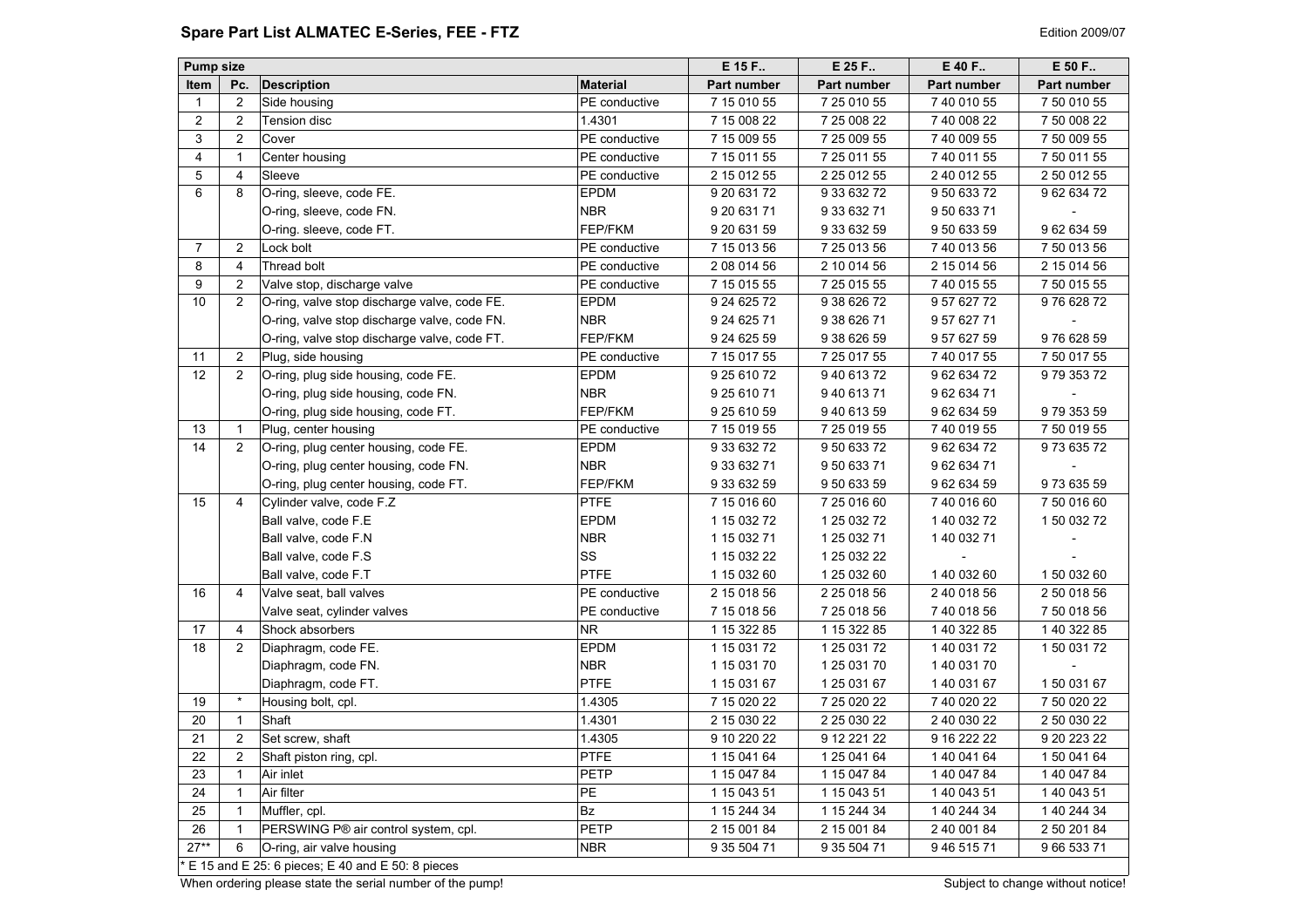## <span id="page-2-0"></span>**Spare Part List ALMATEC E-Series, FEE - FTZ Edition 2009/07 Edition 2009/07**

| <b>Material</b><br>Part number<br><b>Item</b><br>Pc.<br><b>Description</b><br>Part number<br>Part number<br>Part number<br>$\overline{2}$<br>PE conductive<br>7 15 010 55<br>7 25 010 55<br>7 40 010 55<br>7 50 010 55<br>Side housing<br>1<br>$\overline{2}$<br>2<br>1.4301<br>7 15 008 22<br><b>Tension disc</b><br>7 25 008 22<br>7 40 008 22<br>7 50 008 22<br>3<br>$\overline{2}$<br>Cover<br>PE conductive<br>7 15 009 55<br>7 25 009 55<br>7 40 009 55<br>7 50 009 55<br>4<br>$\mathbf{1}$<br>Center housing<br>PE conductive<br>7 15 011 55<br>7 25 011 55<br>7 40 011 55<br>7 50 011 55<br>5<br>4<br>Sleeve<br>PE conductive<br>2 15 012 55<br>2 25 0 12 55<br>2 40 012 55<br>2 50 012 55<br>6<br>8<br>O-ring, sleeve, code FE.<br><b>EPDM</b><br>9 20 631 72<br>9 33 632 72<br>9 50 633 72<br>96263472<br>O-ring, sleeve, code FN.<br><b>NBR</b><br>9 20 631 71<br>9 33 632 71<br>9 50 633 71<br>FEP/FKM<br>O-ring. sleeve, code FT.<br>9 20 631 59<br>9 33 632 59<br>9 50 633 59<br>96263459<br>$\overline{2}$<br>$\overline{7}$<br>PE conductive<br>7 15 013 56<br>7 25 013 56<br>7 40 013 56<br>Lock bolt<br>7 50 013 56<br>8<br>$\overline{4}$<br>Thread bolt<br>2 08 014 56<br>2 10 014 56<br>2 15 0 14 56<br>2 15 014 56<br>PE conductive<br>9<br>$\overline{2}$<br>Valve stop, discharge valve<br>PE conductive<br>7 15 015 55<br>7 25 015 55<br>7 40 015 55<br>7 50 015 55<br>10<br>O-ring, valve stop discharge valve, code FE.<br>$\overline{2}$<br><b>EPDM</b><br>9 24 6 25 72<br>9 38 6 26 72<br>9 57 627 72<br>976 628 72<br>O-ring, valve stop discharge valve, code FN.<br><b>NBR</b><br>9 24 6 25 71<br>9 38 6 26 71<br>9 57 627 71<br>FEP/FKM<br>9 24 6 25 59<br>O-ring, valve stop discharge valve, code FT.<br>9 38 6 26 59<br>9 57 627 59<br>976 628 59<br>2<br>PE conductive<br>7 15 017 55<br>7 25 017 55<br>7 40 017 55<br>11<br>Plug, side housing<br>7 50 017 55<br>12<br>2<br>O-ring, plug side housing, code FE.<br><b>EPDM</b><br>9 25 610 72<br>94061372<br>9 62 634 72<br>97935372<br><b>NBR</b><br>O-ring, plug side housing, code FN.<br>9 25 610 71<br>94061371<br>9 62 634 71<br>FEP/FKM<br>O-ring, plug side housing, code FT.<br>9 25 610 59<br>94061359<br>9 62 634 59<br>97935359<br>$\mathbf{1}$<br>13<br>Plug, center housing<br>PE conductive<br>7 15 019 55<br>7 25 019 55<br>7 40 019 55<br>7 50 019 55<br>14<br>$\overline{2}$<br>O-ring, plug center housing, code FE.<br><b>EPDM</b><br>9 62 634 72<br>97363572<br>9 33 632 72<br>9 50 633 72<br>O-ring, plug center housing, code FN.<br><b>NBR</b><br>9 33 632 71<br>95063371<br>96263471<br>FEP/FKM<br>973 635 59<br>O-ring, plug center housing, code FT.<br>9 33 632 59<br>9 50 633 59<br>9 62 634 59<br>15<br><b>PTFE</b><br>$\overline{4}$<br>Cylinder valve, code F.Z<br>7 15 016 60<br>7 25 016 60<br>7 40 016 60<br>7 50 016 60<br><b>EPDM</b><br>1 50 032 72<br>Ball valve, code F.E<br>1 15 032 72<br>1 25 0 32 72<br>1 40 032 72<br><b>NBR</b><br>1 15 032 71<br>1 25 0 32 71<br>1 40 032 71<br>Ball valve, code F.N.<br>Ball valve, code F.S.<br>SS<br>1 15 032 22<br>1 25 0 32 22<br><b>PTFE</b><br>Ball valve, code F.T<br>1 15 032 60<br>1 25 0 32 60<br>1 40 032 60<br>1 50 032 60<br>16<br>$\overline{4}$<br>2 40 018 56<br>Valve seat, ball valves<br>PE conductive<br>2 15 018 56<br>2 25 018 56<br>2 50 018 56<br>7 15 018 56<br>7 25 018 56<br>7 40 018 56<br>Valve seat, cylinder valves<br>PE conductive<br>7 50 018 56<br>17<br>4<br>Shock absorbers<br>NR.<br>1 15 322 85<br>1 15 322 85<br>1 40 322 85<br>1 40 322 85<br>18<br><b>EPDM</b><br>$\overline{2}$<br>Diaphragm, code FE.<br>1 15 0 31 72<br>1 25 0 31 72<br>1 40 031 72<br>150 031 72<br><b>NBR</b><br>Diaphragm, code FN.<br>1 15 031 70<br>1 25 0 31 70<br>1 40 031 70<br><b>PTFE</b><br>Diaphragm, code FT.<br>1 15 0 31 67<br>1 25 0 31 67<br>1 40 031 67<br>150 031 67<br>$\star$<br>1.4305<br>19<br>7 15 0 20 22<br>7 25 0 20 22<br>7 40 020 22<br>7 50 020 22<br>Housing bolt, cpl.<br>20<br>$\mathbf{1}$<br>Shaft<br>1.4301<br>2 15 030 22<br>2 25 030 22<br>2 40 030 22<br>2 50 030 22<br>2<br>Set screw, shaft<br>21<br>1.4305<br>9 10 220 22<br>9 12 221 22<br>9 16 222 22<br>9 20 223 22<br>22<br>$\mathbf{2}$<br><b>PTFE</b><br>1 25 041 64<br>Shaft piston ring, cpl.<br>1 15 041 64<br>1 40 041 64<br>1 50 041 64<br>23<br>$\mathbf{1}$<br>Air inlet<br><b>PETP</b><br>1 40 047 84<br>1 40 047 84<br>1 15 047 84<br>1 15 047 84<br>PE<br>24<br>Air filter<br>1 15 043 51<br>1 15 043 51<br>1 40 043 51<br>1 40 043 51<br>$\mathbf{1}$<br>25<br>$\mathbf{1}$<br>Bz<br>1 15 244 34<br>1 15 244 34<br>1 40 244 34<br>1 40 244 34<br>Muffler, cpl.<br>PETP<br>26<br>PERSWING P® air control system, cpl.<br>2 40 001 84<br>2 50 201 84<br>$\mathbf{1}$<br>2 15 001 84<br>2 15 001 84<br>$27**$<br>6<br><b>NBR</b><br>9 35 504 71<br>9 35 504 71<br>9 46 515 71<br>966 533 71 | <b>Pump size</b> |                           | E 15 F | E 25 F | E 40 F | E 50 F |
|----------------------------------------------------------------------------------------------------------------------------------------------------------------------------------------------------------------------------------------------------------------------------------------------------------------------------------------------------------------------------------------------------------------------------------------------------------------------------------------------------------------------------------------------------------------------------------------------------------------------------------------------------------------------------------------------------------------------------------------------------------------------------------------------------------------------------------------------------------------------------------------------------------------------------------------------------------------------------------------------------------------------------------------------------------------------------------------------------------------------------------------------------------------------------------------------------------------------------------------------------------------------------------------------------------------------------------------------------------------------------------------------------------------------------------------------------------------------------------------------------------------------------------------------------------------------------------------------------------------------------------------------------------------------------------------------------------------------------------------------------------------------------------------------------------------------------------------------------------------------------------------------------------------------------------------------------------------------------------------------------------------------------------------------------------------------------------------------------------------------------------------------------------------------------------------------------------------------------------------------------------------------------------------------------------------------------------------------------------------------------------------------------------------------------------------------------------------------------------------------------------------------------------------------------------------------------------------------------------------------------------------------------------------------------------------------------------------------------------------------------------------------------------------------------------------------------------------------------------------------------------------------------------------------------------------------------------------------------------------------------------------------------------------------------------------------------------------------------------------------------------------------------------------------------------------------------------------------------------------------------------------------------------------------------------------------------------------------------------------------------------------------------------------------------------------------------------------------------------------------------------------------------------------------------------------------------------------------------------------------------------------------------------------------------------------------------------------------------------------------------------------------------------------------------------------------------------------------------------------------------------------------------------------------------------------------------------------------------------------------------------------------------------------------------------------------------------------------------------------------------------------------------------------------------------------------------------------------------------------------------------------------------------------------------------------------------------------------------------------------------------------------------------------------------------------------------------------------------------------------------------------------------------------------------------------------------------------------------------------------------------------------------------------------------------------------------------------------------------------------------------------------------------------------------------------------------------------------------------------------------------------|------------------|---------------------------|--------|--------|--------|--------|
|                                                                                                                                                                                                                                                                                                                                                                                                                                                                                                                                                                                                                                                                                                                                                                                                                                                                                                                                                                                                                                                                                                                                                                                                                                                                                                                                                                                                                                                                                                                                                                                                                                                                                                                                                                                                                                                                                                                                                                                                                                                                                                                                                                                                                                                                                                                                                                                                                                                                                                                                                                                                                                                                                                                                                                                                                                                                                                                                                                                                                                                                                                                                                                                                                                                                                                                                                                                                                                                                                                                                                                                                                                                                                                                                                                                                                                                                                                                                                                                                                                                                                                                                                                                                                                                                                                                                                                                                                                                                                                                                                                                                                                                                                                                                                                                                                                                                                        |                  |                           |        |        |        |        |
|                                                                                                                                                                                                                                                                                                                                                                                                                                                                                                                                                                                                                                                                                                                                                                                                                                                                                                                                                                                                                                                                                                                                                                                                                                                                                                                                                                                                                                                                                                                                                                                                                                                                                                                                                                                                                                                                                                                                                                                                                                                                                                                                                                                                                                                                                                                                                                                                                                                                                                                                                                                                                                                                                                                                                                                                                                                                                                                                                                                                                                                                                                                                                                                                                                                                                                                                                                                                                                                                                                                                                                                                                                                                                                                                                                                                                                                                                                                                                                                                                                                                                                                                                                                                                                                                                                                                                                                                                                                                                                                                                                                                                                                                                                                                                                                                                                                                                        |                  |                           |        |        |        |        |
|                                                                                                                                                                                                                                                                                                                                                                                                                                                                                                                                                                                                                                                                                                                                                                                                                                                                                                                                                                                                                                                                                                                                                                                                                                                                                                                                                                                                                                                                                                                                                                                                                                                                                                                                                                                                                                                                                                                                                                                                                                                                                                                                                                                                                                                                                                                                                                                                                                                                                                                                                                                                                                                                                                                                                                                                                                                                                                                                                                                                                                                                                                                                                                                                                                                                                                                                                                                                                                                                                                                                                                                                                                                                                                                                                                                                                                                                                                                                                                                                                                                                                                                                                                                                                                                                                                                                                                                                                                                                                                                                                                                                                                                                                                                                                                                                                                                                                        |                  |                           |        |        |        |        |
|                                                                                                                                                                                                                                                                                                                                                                                                                                                                                                                                                                                                                                                                                                                                                                                                                                                                                                                                                                                                                                                                                                                                                                                                                                                                                                                                                                                                                                                                                                                                                                                                                                                                                                                                                                                                                                                                                                                                                                                                                                                                                                                                                                                                                                                                                                                                                                                                                                                                                                                                                                                                                                                                                                                                                                                                                                                                                                                                                                                                                                                                                                                                                                                                                                                                                                                                                                                                                                                                                                                                                                                                                                                                                                                                                                                                                                                                                                                                                                                                                                                                                                                                                                                                                                                                                                                                                                                                                                                                                                                                                                                                                                                                                                                                                                                                                                                                                        |                  |                           |        |        |        |        |
|                                                                                                                                                                                                                                                                                                                                                                                                                                                                                                                                                                                                                                                                                                                                                                                                                                                                                                                                                                                                                                                                                                                                                                                                                                                                                                                                                                                                                                                                                                                                                                                                                                                                                                                                                                                                                                                                                                                                                                                                                                                                                                                                                                                                                                                                                                                                                                                                                                                                                                                                                                                                                                                                                                                                                                                                                                                                                                                                                                                                                                                                                                                                                                                                                                                                                                                                                                                                                                                                                                                                                                                                                                                                                                                                                                                                                                                                                                                                                                                                                                                                                                                                                                                                                                                                                                                                                                                                                                                                                                                                                                                                                                                                                                                                                                                                                                                                                        |                  |                           |        |        |        |        |
|                                                                                                                                                                                                                                                                                                                                                                                                                                                                                                                                                                                                                                                                                                                                                                                                                                                                                                                                                                                                                                                                                                                                                                                                                                                                                                                                                                                                                                                                                                                                                                                                                                                                                                                                                                                                                                                                                                                                                                                                                                                                                                                                                                                                                                                                                                                                                                                                                                                                                                                                                                                                                                                                                                                                                                                                                                                                                                                                                                                                                                                                                                                                                                                                                                                                                                                                                                                                                                                                                                                                                                                                                                                                                                                                                                                                                                                                                                                                                                                                                                                                                                                                                                                                                                                                                                                                                                                                                                                                                                                                                                                                                                                                                                                                                                                                                                                                                        |                  |                           |        |        |        |        |
|                                                                                                                                                                                                                                                                                                                                                                                                                                                                                                                                                                                                                                                                                                                                                                                                                                                                                                                                                                                                                                                                                                                                                                                                                                                                                                                                                                                                                                                                                                                                                                                                                                                                                                                                                                                                                                                                                                                                                                                                                                                                                                                                                                                                                                                                                                                                                                                                                                                                                                                                                                                                                                                                                                                                                                                                                                                                                                                                                                                                                                                                                                                                                                                                                                                                                                                                                                                                                                                                                                                                                                                                                                                                                                                                                                                                                                                                                                                                                                                                                                                                                                                                                                                                                                                                                                                                                                                                                                                                                                                                                                                                                                                                                                                                                                                                                                                                                        |                  |                           |        |        |        |        |
|                                                                                                                                                                                                                                                                                                                                                                                                                                                                                                                                                                                                                                                                                                                                                                                                                                                                                                                                                                                                                                                                                                                                                                                                                                                                                                                                                                                                                                                                                                                                                                                                                                                                                                                                                                                                                                                                                                                                                                                                                                                                                                                                                                                                                                                                                                                                                                                                                                                                                                                                                                                                                                                                                                                                                                                                                                                                                                                                                                                                                                                                                                                                                                                                                                                                                                                                                                                                                                                                                                                                                                                                                                                                                                                                                                                                                                                                                                                                                                                                                                                                                                                                                                                                                                                                                                                                                                                                                                                                                                                                                                                                                                                                                                                                                                                                                                                                                        |                  |                           |        |        |        |        |
|                                                                                                                                                                                                                                                                                                                                                                                                                                                                                                                                                                                                                                                                                                                                                                                                                                                                                                                                                                                                                                                                                                                                                                                                                                                                                                                                                                                                                                                                                                                                                                                                                                                                                                                                                                                                                                                                                                                                                                                                                                                                                                                                                                                                                                                                                                                                                                                                                                                                                                                                                                                                                                                                                                                                                                                                                                                                                                                                                                                                                                                                                                                                                                                                                                                                                                                                                                                                                                                                                                                                                                                                                                                                                                                                                                                                                                                                                                                                                                                                                                                                                                                                                                                                                                                                                                                                                                                                                                                                                                                                                                                                                                                                                                                                                                                                                                                                                        |                  |                           |        |        |        |        |
|                                                                                                                                                                                                                                                                                                                                                                                                                                                                                                                                                                                                                                                                                                                                                                                                                                                                                                                                                                                                                                                                                                                                                                                                                                                                                                                                                                                                                                                                                                                                                                                                                                                                                                                                                                                                                                                                                                                                                                                                                                                                                                                                                                                                                                                                                                                                                                                                                                                                                                                                                                                                                                                                                                                                                                                                                                                                                                                                                                                                                                                                                                                                                                                                                                                                                                                                                                                                                                                                                                                                                                                                                                                                                                                                                                                                                                                                                                                                                                                                                                                                                                                                                                                                                                                                                                                                                                                                                                                                                                                                                                                                                                                                                                                                                                                                                                                                                        |                  |                           |        |        |        |        |
|                                                                                                                                                                                                                                                                                                                                                                                                                                                                                                                                                                                                                                                                                                                                                                                                                                                                                                                                                                                                                                                                                                                                                                                                                                                                                                                                                                                                                                                                                                                                                                                                                                                                                                                                                                                                                                                                                                                                                                                                                                                                                                                                                                                                                                                                                                                                                                                                                                                                                                                                                                                                                                                                                                                                                                                                                                                                                                                                                                                                                                                                                                                                                                                                                                                                                                                                                                                                                                                                                                                                                                                                                                                                                                                                                                                                                                                                                                                                                                                                                                                                                                                                                                                                                                                                                                                                                                                                                                                                                                                                                                                                                                                                                                                                                                                                                                                                                        |                  |                           |        |        |        |        |
|                                                                                                                                                                                                                                                                                                                                                                                                                                                                                                                                                                                                                                                                                                                                                                                                                                                                                                                                                                                                                                                                                                                                                                                                                                                                                                                                                                                                                                                                                                                                                                                                                                                                                                                                                                                                                                                                                                                                                                                                                                                                                                                                                                                                                                                                                                                                                                                                                                                                                                                                                                                                                                                                                                                                                                                                                                                                                                                                                                                                                                                                                                                                                                                                                                                                                                                                                                                                                                                                                                                                                                                                                                                                                                                                                                                                                                                                                                                                                                                                                                                                                                                                                                                                                                                                                                                                                                                                                                                                                                                                                                                                                                                                                                                                                                                                                                                                                        |                  |                           |        |        |        |        |
|                                                                                                                                                                                                                                                                                                                                                                                                                                                                                                                                                                                                                                                                                                                                                                                                                                                                                                                                                                                                                                                                                                                                                                                                                                                                                                                                                                                                                                                                                                                                                                                                                                                                                                                                                                                                                                                                                                                                                                                                                                                                                                                                                                                                                                                                                                                                                                                                                                                                                                                                                                                                                                                                                                                                                                                                                                                                                                                                                                                                                                                                                                                                                                                                                                                                                                                                                                                                                                                                                                                                                                                                                                                                                                                                                                                                                                                                                                                                                                                                                                                                                                                                                                                                                                                                                                                                                                                                                                                                                                                                                                                                                                                                                                                                                                                                                                                                                        |                  |                           |        |        |        |        |
|                                                                                                                                                                                                                                                                                                                                                                                                                                                                                                                                                                                                                                                                                                                                                                                                                                                                                                                                                                                                                                                                                                                                                                                                                                                                                                                                                                                                                                                                                                                                                                                                                                                                                                                                                                                                                                                                                                                                                                                                                                                                                                                                                                                                                                                                                                                                                                                                                                                                                                                                                                                                                                                                                                                                                                                                                                                                                                                                                                                                                                                                                                                                                                                                                                                                                                                                                                                                                                                                                                                                                                                                                                                                                                                                                                                                                                                                                                                                                                                                                                                                                                                                                                                                                                                                                                                                                                                                                                                                                                                                                                                                                                                                                                                                                                                                                                                                                        |                  |                           |        |        |        |        |
|                                                                                                                                                                                                                                                                                                                                                                                                                                                                                                                                                                                                                                                                                                                                                                                                                                                                                                                                                                                                                                                                                                                                                                                                                                                                                                                                                                                                                                                                                                                                                                                                                                                                                                                                                                                                                                                                                                                                                                                                                                                                                                                                                                                                                                                                                                                                                                                                                                                                                                                                                                                                                                                                                                                                                                                                                                                                                                                                                                                                                                                                                                                                                                                                                                                                                                                                                                                                                                                                                                                                                                                                                                                                                                                                                                                                                                                                                                                                                                                                                                                                                                                                                                                                                                                                                                                                                                                                                                                                                                                                                                                                                                                                                                                                                                                                                                                                                        |                  |                           |        |        |        |        |
|                                                                                                                                                                                                                                                                                                                                                                                                                                                                                                                                                                                                                                                                                                                                                                                                                                                                                                                                                                                                                                                                                                                                                                                                                                                                                                                                                                                                                                                                                                                                                                                                                                                                                                                                                                                                                                                                                                                                                                                                                                                                                                                                                                                                                                                                                                                                                                                                                                                                                                                                                                                                                                                                                                                                                                                                                                                                                                                                                                                                                                                                                                                                                                                                                                                                                                                                                                                                                                                                                                                                                                                                                                                                                                                                                                                                                                                                                                                                                                                                                                                                                                                                                                                                                                                                                                                                                                                                                                                                                                                                                                                                                                                                                                                                                                                                                                                                                        |                  |                           |        |        |        |        |
|                                                                                                                                                                                                                                                                                                                                                                                                                                                                                                                                                                                                                                                                                                                                                                                                                                                                                                                                                                                                                                                                                                                                                                                                                                                                                                                                                                                                                                                                                                                                                                                                                                                                                                                                                                                                                                                                                                                                                                                                                                                                                                                                                                                                                                                                                                                                                                                                                                                                                                                                                                                                                                                                                                                                                                                                                                                                                                                                                                                                                                                                                                                                                                                                                                                                                                                                                                                                                                                                                                                                                                                                                                                                                                                                                                                                                                                                                                                                                                                                                                                                                                                                                                                                                                                                                                                                                                                                                                                                                                                                                                                                                                                                                                                                                                                                                                                                                        |                  |                           |        |        |        |        |
|                                                                                                                                                                                                                                                                                                                                                                                                                                                                                                                                                                                                                                                                                                                                                                                                                                                                                                                                                                                                                                                                                                                                                                                                                                                                                                                                                                                                                                                                                                                                                                                                                                                                                                                                                                                                                                                                                                                                                                                                                                                                                                                                                                                                                                                                                                                                                                                                                                                                                                                                                                                                                                                                                                                                                                                                                                                                                                                                                                                                                                                                                                                                                                                                                                                                                                                                                                                                                                                                                                                                                                                                                                                                                                                                                                                                                                                                                                                                                                                                                                                                                                                                                                                                                                                                                                                                                                                                                                                                                                                                                                                                                                                                                                                                                                                                                                                                                        |                  |                           |        |        |        |        |
|                                                                                                                                                                                                                                                                                                                                                                                                                                                                                                                                                                                                                                                                                                                                                                                                                                                                                                                                                                                                                                                                                                                                                                                                                                                                                                                                                                                                                                                                                                                                                                                                                                                                                                                                                                                                                                                                                                                                                                                                                                                                                                                                                                                                                                                                                                                                                                                                                                                                                                                                                                                                                                                                                                                                                                                                                                                                                                                                                                                                                                                                                                                                                                                                                                                                                                                                                                                                                                                                                                                                                                                                                                                                                                                                                                                                                                                                                                                                                                                                                                                                                                                                                                                                                                                                                                                                                                                                                                                                                                                                                                                                                                                                                                                                                                                                                                                                                        |                  |                           |        |        |        |        |
|                                                                                                                                                                                                                                                                                                                                                                                                                                                                                                                                                                                                                                                                                                                                                                                                                                                                                                                                                                                                                                                                                                                                                                                                                                                                                                                                                                                                                                                                                                                                                                                                                                                                                                                                                                                                                                                                                                                                                                                                                                                                                                                                                                                                                                                                                                                                                                                                                                                                                                                                                                                                                                                                                                                                                                                                                                                                                                                                                                                                                                                                                                                                                                                                                                                                                                                                                                                                                                                                                                                                                                                                                                                                                                                                                                                                                                                                                                                                                                                                                                                                                                                                                                                                                                                                                                                                                                                                                                                                                                                                                                                                                                                                                                                                                                                                                                                                                        |                  |                           |        |        |        |        |
|                                                                                                                                                                                                                                                                                                                                                                                                                                                                                                                                                                                                                                                                                                                                                                                                                                                                                                                                                                                                                                                                                                                                                                                                                                                                                                                                                                                                                                                                                                                                                                                                                                                                                                                                                                                                                                                                                                                                                                                                                                                                                                                                                                                                                                                                                                                                                                                                                                                                                                                                                                                                                                                                                                                                                                                                                                                                                                                                                                                                                                                                                                                                                                                                                                                                                                                                                                                                                                                                                                                                                                                                                                                                                                                                                                                                                                                                                                                                                                                                                                                                                                                                                                                                                                                                                                                                                                                                                                                                                                                                                                                                                                                                                                                                                                                                                                                                                        |                  |                           |        |        |        |        |
|                                                                                                                                                                                                                                                                                                                                                                                                                                                                                                                                                                                                                                                                                                                                                                                                                                                                                                                                                                                                                                                                                                                                                                                                                                                                                                                                                                                                                                                                                                                                                                                                                                                                                                                                                                                                                                                                                                                                                                                                                                                                                                                                                                                                                                                                                                                                                                                                                                                                                                                                                                                                                                                                                                                                                                                                                                                                                                                                                                                                                                                                                                                                                                                                                                                                                                                                                                                                                                                                                                                                                                                                                                                                                                                                                                                                                                                                                                                                                                                                                                                                                                                                                                                                                                                                                                                                                                                                                                                                                                                                                                                                                                                                                                                                                                                                                                                                                        |                  |                           |        |        |        |        |
|                                                                                                                                                                                                                                                                                                                                                                                                                                                                                                                                                                                                                                                                                                                                                                                                                                                                                                                                                                                                                                                                                                                                                                                                                                                                                                                                                                                                                                                                                                                                                                                                                                                                                                                                                                                                                                                                                                                                                                                                                                                                                                                                                                                                                                                                                                                                                                                                                                                                                                                                                                                                                                                                                                                                                                                                                                                                                                                                                                                                                                                                                                                                                                                                                                                                                                                                                                                                                                                                                                                                                                                                                                                                                                                                                                                                                                                                                                                                                                                                                                                                                                                                                                                                                                                                                                                                                                                                                                                                                                                                                                                                                                                                                                                                                                                                                                                                                        |                  |                           |        |        |        |        |
|                                                                                                                                                                                                                                                                                                                                                                                                                                                                                                                                                                                                                                                                                                                                                                                                                                                                                                                                                                                                                                                                                                                                                                                                                                                                                                                                                                                                                                                                                                                                                                                                                                                                                                                                                                                                                                                                                                                                                                                                                                                                                                                                                                                                                                                                                                                                                                                                                                                                                                                                                                                                                                                                                                                                                                                                                                                                                                                                                                                                                                                                                                                                                                                                                                                                                                                                                                                                                                                                                                                                                                                                                                                                                                                                                                                                                                                                                                                                                                                                                                                                                                                                                                                                                                                                                                                                                                                                                                                                                                                                                                                                                                                                                                                                                                                                                                                                                        |                  |                           |        |        |        |        |
|                                                                                                                                                                                                                                                                                                                                                                                                                                                                                                                                                                                                                                                                                                                                                                                                                                                                                                                                                                                                                                                                                                                                                                                                                                                                                                                                                                                                                                                                                                                                                                                                                                                                                                                                                                                                                                                                                                                                                                                                                                                                                                                                                                                                                                                                                                                                                                                                                                                                                                                                                                                                                                                                                                                                                                                                                                                                                                                                                                                                                                                                                                                                                                                                                                                                                                                                                                                                                                                                                                                                                                                                                                                                                                                                                                                                                                                                                                                                                                                                                                                                                                                                                                                                                                                                                                                                                                                                                                                                                                                                                                                                                                                                                                                                                                                                                                                                                        |                  |                           |        |        |        |        |
|                                                                                                                                                                                                                                                                                                                                                                                                                                                                                                                                                                                                                                                                                                                                                                                                                                                                                                                                                                                                                                                                                                                                                                                                                                                                                                                                                                                                                                                                                                                                                                                                                                                                                                                                                                                                                                                                                                                                                                                                                                                                                                                                                                                                                                                                                                                                                                                                                                                                                                                                                                                                                                                                                                                                                                                                                                                                                                                                                                                                                                                                                                                                                                                                                                                                                                                                                                                                                                                                                                                                                                                                                                                                                                                                                                                                                                                                                                                                                                                                                                                                                                                                                                                                                                                                                                                                                                                                                                                                                                                                                                                                                                                                                                                                                                                                                                                                                        |                  |                           |        |        |        |        |
|                                                                                                                                                                                                                                                                                                                                                                                                                                                                                                                                                                                                                                                                                                                                                                                                                                                                                                                                                                                                                                                                                                                                                                                                                                                                                                                                                                                                                                                                                                                                                                                                                                                                                                                                                                                                                                                                                                                                                                                                                                                                                                                                                                                                                                                                                                                                                                                                                                                                                                                                                                                                                                                                                                                                                                                                                                                                                                                                                                                                                                                                                                                                                                                                                                                                                                                                                                                                                                                                                                                                                                                                                                                                                                                                                                                                                                                                                                                                                                                                                                                                                                                                                                                                                                                                                                                                                                                                                                                                                                                                                                                                                                                                                                                                                                                                                                                                                        |                  |                           |        |        |        |        |
|                                                                                                                                                                                                                                                                                                                                                                                                                                                                                                                                                                                                                                                                                                                                                                                                                                                                                                                                                                                                                                                                                                                                                                                                                                                                                                                                                                                                                                                                                                                                                                                                                                                                                                                                                                                                                                                                                                                                                                                                                                                                                                                                                                                                                                                                                                                                                                                                                                                                                                                                                                                                                                                                                                                                                                                                                                                                                                                                                                                                                                                                                                                                                                                                                                                                                                                                                                                                                                                                                                                                                                                                                                                                                                                                                                                                                                                                                                                                                                                                                                                                                                                                                                                                                                                                                                                                                                                                                                                                                                                                                                                                                                                                                                                                                                                                                                                                                        |                  |                           |        |        |        |        |
|                                                                                                                                                                                                                                                                                                                                                                                                                                                                                                                                                                                                                                                                                                                                                                                                                                                                                                                                                                                                                                                                                                                                                                                                                                                                                                                                                                                                                                                                                                                                                                                                                                                                                                                                                                                                                                                                                                                                                                                                                                                                                                                                                                                                                                                                                                                                                                                                                                                                                                                                                                                                                                                                                                                                                                                                                                                                                                                                                                                                                                                                                                                                                                                                                                                                                                                                                                                                                                                                                                                                                                                                                                                                                                                                                                                                                                                                                                                                                                                                                                                                                                                                                                                                                                                                                                                                                                                                                                                                                                                                                                                                                                                                                                                                                                                                                                                                                        |                  |                           |        |        |        |        |
|                                                                                                                                                                                                                                                                                                                                                                                                                                                                                                                                                                                                                                                                                                                                                                                                                                                                                                                                                                                                                                                                                                                                                                                                                                                                                                                                                                                                                                                                                                                                                                                                                                                                                                                                                                                                                                                                                                                                                                                                                                                                                                                                                                                                                                                                                                                                                                                                                                                                                                                                                                                                                                                                                                                                                                                                                                                                                                                                                                                                                                                                                                                                                                                                                                                                                                                                                                                                                                                                                                                                                                                                                                                                                                                                                                                                                                                                                                                                                                                                                                                                                                                                                                                                                                                                                                                                                                                                                                                                                                                                                                                                                                                                                                                                                                                                                                                                                        |                  |                           |        |        |        |        |
|                                                                                                                                                                                                                                                                                                                                                                                                                                                                                                                                                                                                                                                                                                                                                                                                                                                                                                                                                                                                                                                                                                                                                                                                                                                                                                                                                                                                                                                                                                                                                                                                                                                                                                                                                                                                                                                                                                                                                                                                                                                                                                                                                                                                                                                                                                                                                                                                                                                                                                                                                                                                                                                                                                                                                                                                                                                                                                                                                                                                                                                                                                                                                                                                                                                                                                                                                                                                                                                                                                                                                                                                                                                                                                                                                                                                                                                                                                                                                                                                                                                                                                                                                                                                                                                                                                                                                                                                                                                                                                                                                                                                                                                                                                                                                                                                                                                                                        |                  |                           |        |        |        |        |
|                                                                                                                                                                                                                                                                                                                                                                                                                                                                                                                                                                                                                                                                                                                                                                                                                                                                                                                                                                                                                                                                                                                                                                                                                                                                                                                                                                                                                                                                                                                                                                                                                                                                                                                                                                                                                                                                                                                                                                                                                                                                                                                                                                                                                                                                                                                                                                                                                                                                                                                                                                                                                                                                                                                                                                                                                                                                                                                                                                                                                                                                                                                                                                                                                                                                                                                                                                                                                                                                                                                                                                                                                                                                                                                                                                                                                                                                                                                                                                                                                                                                                                                                                                                                                                                                                                                                                                                                                                                                                                                                                                                                                                                                                                                                                                                                                                                                                        |                  |                           |        |        |        |        |
|                                                                                                                                                                                                                                                                                                                                                                                                                                                                                                                                                                                                                                                                                                                                                                                                                                                                                                                                                                                                                                                                                                                                                                                                                                                                                                                                                                                                                                                                                                                                                                                                                                                                                                                                                                                                                                                                                                                                                                                                                                                                                                                                                                                                                                                                                                                                                                                                                                                                                                                                                                                                                                                                                                                                                                                                                                                                                                                                                                                                                                                                                                                                                                                                                                                                                                                                                                                                                                                                                                                                                                                                                                                                                                                                                                                                                                                                                                                                                                                                                                                                                                                                                                                                                                                                                                                                                                                                                                                                                                                                                                                                                                                                                                                                                                                                                                                                                        |                  |                           |        |        |        |        |
|                                                                                                                                                                                                                                                                                                                                                                                                                                                                                                                                                                                                                                                                                                                                                                                                                                                                                                                                                                                                                                                                                                                                                                                                                                                                                                                                                                                                                                                                                                                                                                                                                                                                                                                                                                                                                                                                                                                                                                                                                                                                                                                                                                                                                                                                                                                                                                                                                                                                                                                                                                                                                                                                                                                                                                                                                                                                                                                                                                                                                                                                                                                                                                                                                                                                                                                                                                                                                                                                                                                                                                                                                                                                                                                                                                                                                                                                                                                                                                                                                                                                                                                                                                                                                                                                                                                                                                                                                                                                                                                                                                                                                                                                                                                                                                                                                                                                                        |                  |                           |        |        |        |        |
|                                                                                                                                                                                                                                                                                                                                                                                                                                                                                                                                                                                                                                                                                                                                                                                                                                                                                                                                                                                                                                                                                                                                                                                                                                                                                                                                                                                                                                                                                                                                                                                                                                                                                                                                                                                                                                                                                                                                                                                                                                                                                                                                                                                                                                                                                                                                                                                                                                                                                                                                                                                                                                                                                                                                                                                                                                                                                                                                                                                                                                                                                                                                                                                                                                                                                                                                                                                                                                                                                                                                                                                                                                                                                                                                                                                                                                                                                                                                                                                                                                                                                                                                                                                                                                                                                                                                                                                                                                                                                                                                                                                                                                                                                                                                                                                                                                                                                        |                  |                           |        |        |        |        |
|                                                                                                                                                                                                                                                                                                                                                                                                                                                                                                                                                                                                                                                                                                                                                                                                                                                                                                                                                                                                                                                                                                                                                                                                                                                                                                                                                                                                                                                                                                                                                                                                                                                                                                                                                                                                                                                                                                                                                                                                                                                                                                                                                                                                                                                                                                                                                                                                                                                                                                                                                                                                                                                                                                                                                                                                                                                                                                                                                                                                                                                                                                                                                                                                                                                                                                                                                                                                                                                                                                                                                                                                                                                                                                                                                                                                                                                                                                                                                                                                                                                                                                                                                                                                                                                                                                                                                                                                                                                                                                                                                                                                                                                                                                                                                                                                                                                                                        |                  |                           |        |        |        |        |
|                                                                                                                                                                                                                                                                                                                                                                                                                                                                                                                                                                                                                                                                                                                                                                                                                                                                                                                                                                                                                                                                                                                                                                                                                                                                                                                                                                                                                                                                                                                                                                                                                                                                                                                                                                                                                                                                                                                                                                                                                                                                                                                                                                                                                                                                                                                                                                                                                                                                                                                                                                                                                                                                                                                                                                                                                                                                                                                                                                                                                                                                                                                                                                                                                                                                                                                                                                                                                                                                                                                                                                                                                                                                                                                                                                                                                                                                                                                                                                                                                                                                                                                                                                                                                                                                                                                                                                                                                                                                                                                                                                                                                                                                                                                                                                                                                                                                                        |                  |                           |        |        |        |        |
|                                                                                                                                                                                                                                                                                                                                                                                                                                                                                                                                                                                                                                                                                                                                                                                                                                                                                                                                                                                                                                                                                                                                                                                                                                                                                                                                                                                                                                                                                                                                                                                                                                                                                                                                                                                                                                                                                                                                                                                                                                                                                                                                                                                                                                                                                                                                                                                                                                                                                                                                                                                                                                                                                                                                                                                                                                                                                                                                                                                                                                                                                                                                                                                                                                                                                                                                                                                                                                                                                                                                                                                                                                                                                                                                                                                                                                                                                                                                                                                                                                                                                                                                                                                                                                                                                                                                                                                                                                                                                                                                                                                                                                                                                                                                                                                                                                                                                        |                  |                           |        |        |        |        |
|                                                                                                                                                                                                                                                                                                                                                                                                                                                                                                                                                                                                                                                                                                                                                                                                                                                                                                                                                                                                                                                                                                                                                                                                                                                                                                                                                                                                                                                                                                                                                                                                                                                                                                                                                                                                                                                                                                                                                                                                                                                                                                                                                                                                                                                                                                                                                                                                                                                                                                                                                                                                                                                                                                                                                                                                                                                                                                                                                                                                                                                                                                                                                                                                                                                                                                                                                                                                                                                                                                                                                                                                                                                                                                                                                                                                                                                                                                                                                                                                                                                                                                                                                                                                                                                                                                                                                                                                                                                                                                                                                                                                                                                                                                                                                                                                                                                                                        |                  |                           |        |        |        |        |
|                                                                                                                                                                                                                                                                                                                                                                                                                                                                                                                                                                                                                                                                                                                                                                                                                                                                                                                                                                                                                                                                                                                                                                                                                                                                                                                                                                                                                                                                                                                                                                                                                                                                                                                                                                                                                                                                                                                                                                                                                                                                                                                                                                                                                                                                                                                                                                                                                                                                                                                                                                                                                                                                                                                                                                                                                                                                                                                                                                                                                                                                                                                                                                                                                                                                                                                                                                                                                                                                                                                                                                                                                                                                                                                                                                                                                                                                                                                                                                                                                                                                                                                                                                                                                                                                                                                                                                                                                                                                                                                                                                                                                                                                                                                                                                                                                                                                                        |                  |                           |        |        |        |        |
|                                                                                                                                                                                                                                                                                                                                                                                                                                                                                                                                                                                                                                                                                                                                                                                                                                                                                                                                                                                                                                                                                                                                                                                                                                                                                                                                                                                                                                                                                                                                                                                                                                                                                                                                                                                                                                                                                                                                                                                                                                                                                                                                                                                                                                                                                                                                                                                                                                                                                                                                                                                                                                                                                                                                                                                                                                                                                                                                                                                                                                                                                                                                                                                                                                                                                                                                                                                                                                                                                                                                                                                                                                                                                                                                                                                                                                                                                                                                                                                                                                                                                                                                                                                                                                                                                                                                                                                                                                                                                                                                                                                                                                                                                                                                                                                                                                                                                        |                  |                           |        |        |        |        |
|                                                                                                                                                                                                                                                                                                                                                                                                                                                                                                                                                                                                                                                                                                                                                                                                                                                                                                                                                                                                                                                                                                                                                                                                                                                                                                                                                                                                                                                                                                                                                                                                                                                                                                                                                                                                                                                                                                                                                                                                                                                                                                                                                                                                                                                                                                                                                                                                                                                                                                                                                                                                                                                                                                                                                                                                                                                                                                                                                                                                                                                                                                                                                                                                                                                                                                                                                                                                                                                                                                                                                                                                                                                                                                                                                                                                                                                                                                                                                                                                                                                                                                                                                                                                                                                                                                                                                                                                                                                                                                                                                                                                                                                                                                                                                                                                                                                                                        |                  |                           |        |        |        |        |
|                                                                                                                                                                                                                                                                                                                                                                                                                                                                                                                                                                                                                                                                                                                                                                                                                                                                                                                                                                                                                                                                                                                                                                                                                                                                                                                                                                                                                                                                                                                                                                                                                                                                                                                                                                                                                                                                                                                                                                                                                                                                                                                                                                                                                                                                                                                                                                                                                                                                                                                                                                                                                                                                                                                                                                                                                                                                                                                                                                                                                                                                                                                                                                                                                                                                                                                                                                                                                                                                                                                                                                                                                                                                                                                                                                                                                                                                                                                                                                                                                                                                                                                                                                                                                                                                                                                                                                                                                                                                                                                                                                                                                                                                                                                                                                                                                                                                                        |                  | O-ring, air valve housing |        |        |        |        |

 $*$  E 15 and E 25: 6 pieces; E 40 and E 50: 8 pieces

When ordering please state the serial number of the pump!<br>
When ordering please state the serial number of the pump!<br>
Subject to change without notice!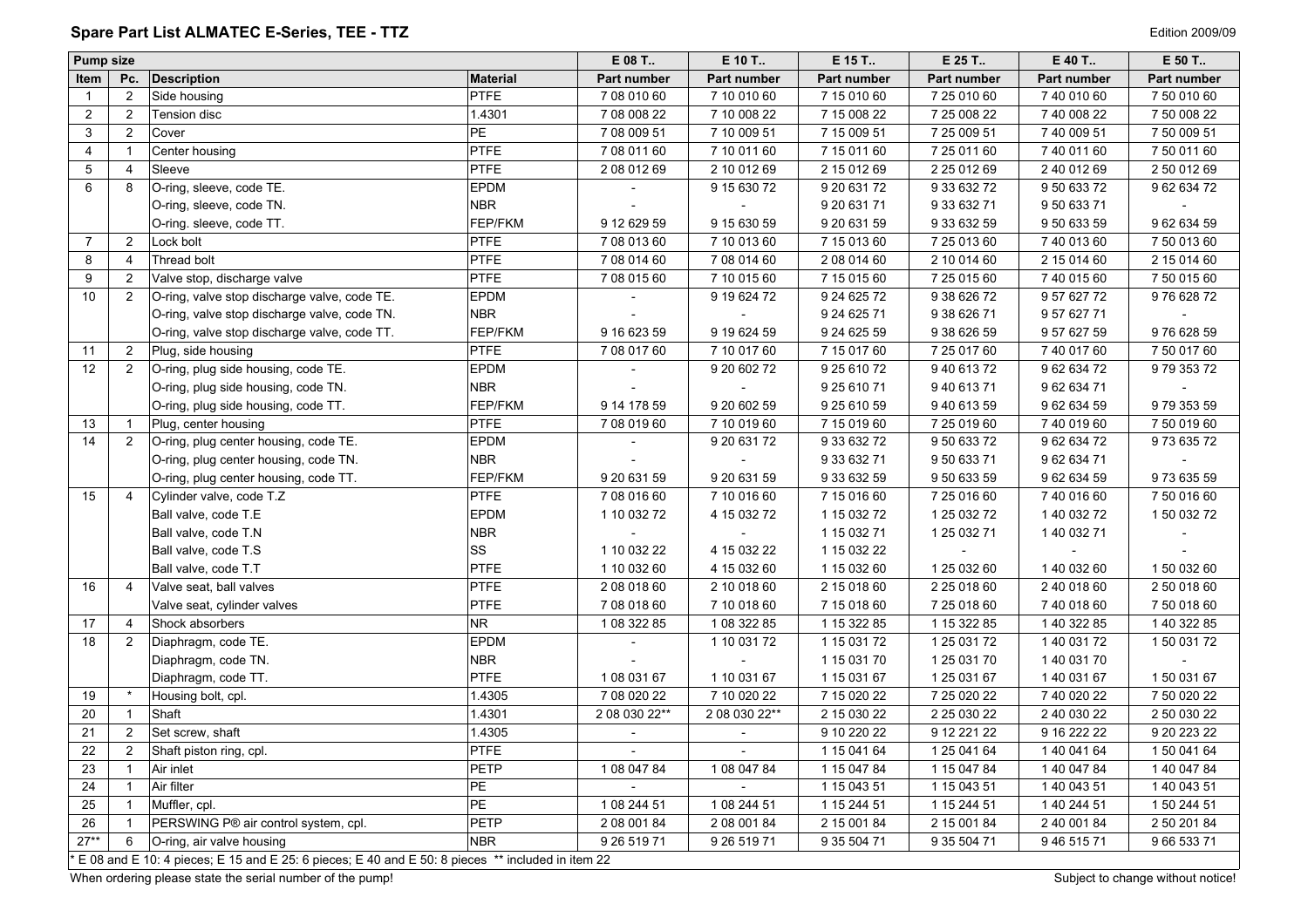# <span id="page-3-0"></span>Spare Part List ALMATEC E-Series, TEE - TTZ **Alle and Series and Series and Series 2009/09** Edition 2009/09

| <b>Pump size</b> |                |                                                                                                  |                 | E 08 T                   | E 10 T                   | E 15 T       | E 25 T       | E 40 T      | E 50 T       |
|------------------|----------------|--------------------------------------------------------------------------------------------------|-----------------|--------------------------|--------------------------|--------------|--------------|-------------|--------------|
| Item             | Pc.            | Description                                                                                      | <b>Material</b> | Part number              | Part number              | Part number  | Part number  | Part number | Part number  |
| $\overline{1}$   | $\overline{2}$ | Side housing                                                                                     | <b>PTFE</b>     | 7 08 010 60              | 7 10 010 60              | 7 15 010 60  | 7 25 010 60  | 7 40 010 60 | 7 50 010 60  |
| $\overline{2}$   | $\overline{2}$ | Tension disc                                                                                     | 1.4301          | 7 08 008 22              | 7 10 008 22              | 7 15 008 22  | 7 25 008 22  | 7 40 008 22 | 7 50 008 22  |
| 3                | $\overline{2}$ | Cover                                                                                            | PE              | 7 08 009 51              | 7 10 009 51              | 7 15 009 51  | 7 25 009 51  | 740 009 51  | 7 50 009 51  |
| $\overline{4}$   | $\mathbf{1}$   | Center housing                                                                                   | PTFE            | 7 08 011 60              | 7 10 011 60              | 7 15 011 60  | 7 25 011 60  | 7 40 011 60 | 7 50 011 60  |
| 5                | $\overline{4}$ | Sleeve                                                                                           | PTFE            | 2 08 012 69              | 2 10 012 69              | 2 15 012 69  | 2 25 0 12 69 | 2 40 012 69 | 2 50 012 69  |
| 6                | 8              | O-ring, sleeve, code TE.                                                                         | <b>EPDM</b>     |                          | 9 15 630 72              | 9 20 631 72  | 9 33 632 72  | 9 50 633 72 | 9 62 634 72  |
|                  |                | O-ring, sleeve, code TN.                                                                         | <b>NBR</b>      |                          |                          | 9 20 631 71  | 9 33 632 71  | 95063371    |              |
|                  |                | O-ring. sleeve, code TT.                                                                         | FEP/FKM         | 9 12 629 59              | 9 15 630 59              | 9 20 631 59  | 9 33 632 59  | 9 50 633 59 | 9 62 634 59  |
| 7                | 2              | Lock bolt                                                                                        | <b>PTFE</b>     | 7 08 013 60              | 7 10 013 60              | 7 15 013 60  | 7 25 013 60  | 74001360    | 7 50 013 60  |
| 8                | $\overline{4}$ | Thread bolt                                                                                      | <b>PTFE</b>     | 7 08 014 60              | 7 08 014 60              | 2 08 014 60  | 2 10 014 60  | 2 15 014 60 | 2 15 0 14 60 |
| 9                | $\overline{2}$ | Valve stop, discharge valve                                                                      | <b>PTFE</b>     | 7 08 015 60              | 7 10 015 60              | 7 15 015 60  | 7 25 0 15 60 | 74001560    | 7 50 015 60  |
| 10               | 2              | O-ring, valve stop discharge valve, code TE.                                                     | <b>EPDM</b>     |                          | 9 19 624 72              | 9 24 6 25 72 | 9 38 6 26 72 | 9 57 627 72 | 976 628 72   |
|                  |                | O-ring, valve stop discharge valve, code TN.                                                     | <b>NBR</b>      |                          |                          | 9 24 6 25 71 | 9 38 6 26 71 | 9 57 627 71 |              |
|                  |                | O-ring, valve stop discharge valve, code TT.                                                     | FEP/FKM         | 9 16 6 23 59             | 9 19 6 24 59             | 9 24 6 25 59 | 9 38 6 26 59 | 9 57 627 59 | 976 628 59   |
| 11               | $\overline{2}$ | Plug, side housing                                                                               | PTFE            | 7 08 017 60              | 7 10 017 60              | 7 15 017 60  | 7 25 017 60  | 7 40 017 60 | 7 50 017 60  |
| 12               | 2              | O-ring, plug side housing, code TE.                                                              | <b>EPDM</b>     |                          | 9 20 602 72              | 9 25 610 72  | 9 40 613 72  | 96263472    | 97935372     |
|                  |                | O-ring, plug side housing, code TN.                                                              | <b>NBR</b>      |                          |                          | 9 25 610 71  | 94061371     | 96263471    |              |
|                  |                | O-ring, plug side housing, code TT.                                                              | FEP/FKM         | 9 14 178 59              | 9 20 602 59              | 9 25 610 59  | 9 40 613 59  | 96263459    | 9 79 353 59  |
| 13               | $\overline{1}$ | Plug, center housing                                                                             | <b>PTFE</b>     | 7 08 019 60              | 7 10 019 60              | 7 15 019 60  | 7 25 019 60  | 7 40 019 60 | 7 50 019 60  |
| 14               | $\overline{2}$ | O-ring, plug center housing, code TE.                                                            | <b>EPDM</b>     |                          | 9 20 631 72              | 9 33 632 72  | 9 50 633 72  | 96263472    | 97363572     |
|                  |                | O-ring, plug center housing, code TN.                                                            | <b>NBR</b>      |                          |                          | 9 33 632 71  | 9 50 633 71  | 96263471    |              |
|                  |                | O-ring, plug center housing, code TT.                                                            | FEP/FKM         | 9 20 631 59              | 9 20 631 59              | 9 33 632 59  | 9 50 633 59  | 96263459    | 97363559     |
| 15               | $\overline{4}$ | Cylinder valve, code T.Z                                                                         | <b>PTFE</b>     | 7 08 016 60              | 7 10 016 60              | 7 15 016 60  | 7 25 016 60  | 74001660    | 7 50 016 60  |
|                  |                | Ball valve, code T.E                                                                             | <b>EPDM</b>     | 1 10 032 72              | 4 15 032 72              | 1 15 032 72  | 1 25 0 32 72 | 1 40 032 72 | 1 50 032 72  |
|                  |                | Ball valve, code T.N                                                                             | <b>NBR</b>      |                          |                          | 1 15 032 71  | 1 25 0 32 71 | 1 40 032 71 |              |
|                  |                | Ball valve, code T.S                                                                             | SS              | 1 10 032 22              | 4 15 032 22              | 1 15 032 22  |              |             |              |
|                  |                | Ball valve, code T.T                                                                             | <b>PTFE</b>     | 1 10 032 60              | 4 15 032 60              | 1 15 032 60  | 1 25 0 32 60 | 140 032 60  | 1 50 032 60  |
| 16               | $\overline{4}$ | Valve seat, ball valves                                                                          | PTFE            | 2 08 018 60              | 2 10 018 60              | 2 15 018 60  | 2 25 0 18 60 | 2 40 018 60 | 2 50 018 60  |
|                  |                | Valve seat, cylinder valves                                                                      | PTFE            | 7 08 018 60              | 7 10 018 60              | 7 15 018 60  | 7 25 018 60  | 74001860    | 7 50 018 60  |
| 17               | $\overline{4}$ | Shock absorbers                                                                                  | NR.             | 1 08 322 85              | 1 08 322 85              | 1 15 322 85  | 1 15 322 85  | 1 40 322 85 | 1 40 322 85  |
| 18               | 2              | Diaphragm, code TE.                                                                              | <b>EPDM</b>     |                          | 1 10 031 72              | 1 15 0 31 72 | 1 25 0 31 72 | 140 031 72  | 1 50 031 72  |
|                  |                | Diaphragm, code TN.                                                                              | <b>NBR</b>      |                          |                          | 1 15 0 31 70 | 1 25 0 31 70 | 140 031 70  |              |
|                  |                | Diaphragm, code TT.                                                                              | <b>PTFE</b>     | 1 08 031 67              | 1 10 031 67              | 1 15 031 67  | 1 25 0 31 67 | 1 40 031 67 | 150 031 67   |
| 19               |                | Housing bolt, cpl.                                                                               | 1.4305          | 7 08 020 22              | 7 10 020 22              | 7 15 020 22  | 7 25 0 20 22 | 7 40 020 22 | 7 50 020 22  |
| 20               |                | Shaft                                                                                            | 1.4301          | 2 08 030 22**            | 2 08 030 22**            | 2 15 030 22  | 2 25 030 22  | 2 40 030 22 | 2 50 030 22  |
| 21               | $\overline{2}$ | Set screw, shaft                                                                                 | 1.4305          | $\overline{\phantom{a}}$ | $\overline{\phantom{a}}$ | 9 10 220 22  | 9 12 221 22  | 9 16 222 22 | 9 20 223 22  |
| 22               | $2^{\circ}$    | Shaft piston ring, cpl.                                                                          | <b>PTFE</b>     |                          |                          | 1 15 041 64  | 1 25 041 64  | 140 041 64  | 150 041 64   |
| 23               | $\mathbf{1}$   | Air inlet                                                                                        | PETP            | 1 08 047 84              | 1 08 047 84              | 1 15 047 84  | 1 15 047 84  | 140 047 84  | 1 40 047 84  |
| 24               |                | Air filter                                                                                       | PE              |                          |                          | 1 15 043 51  | 1 15 043 51  | 1 40 043 51 | 1 40 043 51  |
| 25               |                | Muffler, cpl.                                                                                    | PE              | 1 08 244 51              | 1 08 244 51              | 1 15 244 51  | 1 15 244 51  | 1 40 244 51 | 1 50 244 51  |
| 26               |                | PERSWING P® air control system, cpl.                                                             | PETP            | 2 08 001 84              | 2 08 001 84              | 2 15 001 84  | 2 15 001 84  | 2 40 001 84 | 2 50 201 84  |
| $27**$           | 6              | O-ring, air valve housing                                                                        | <b>NBR</b>      | 9 26 519 71              | 9 26 519 71              | 9 35 504 71  | 9 35 504 71  | 9 46 515 71 | 9 66 533 71  |
|                  |                | E 08 and E 10: 4 pieces; E 15 and E 25: 6 pieces; E 40 and E 50: 8 pieces ** included in item 22 |                 |                          |                          |              |              |             |              |

When ordering please state the serial number of the pump!<br>
Subject to change without notice!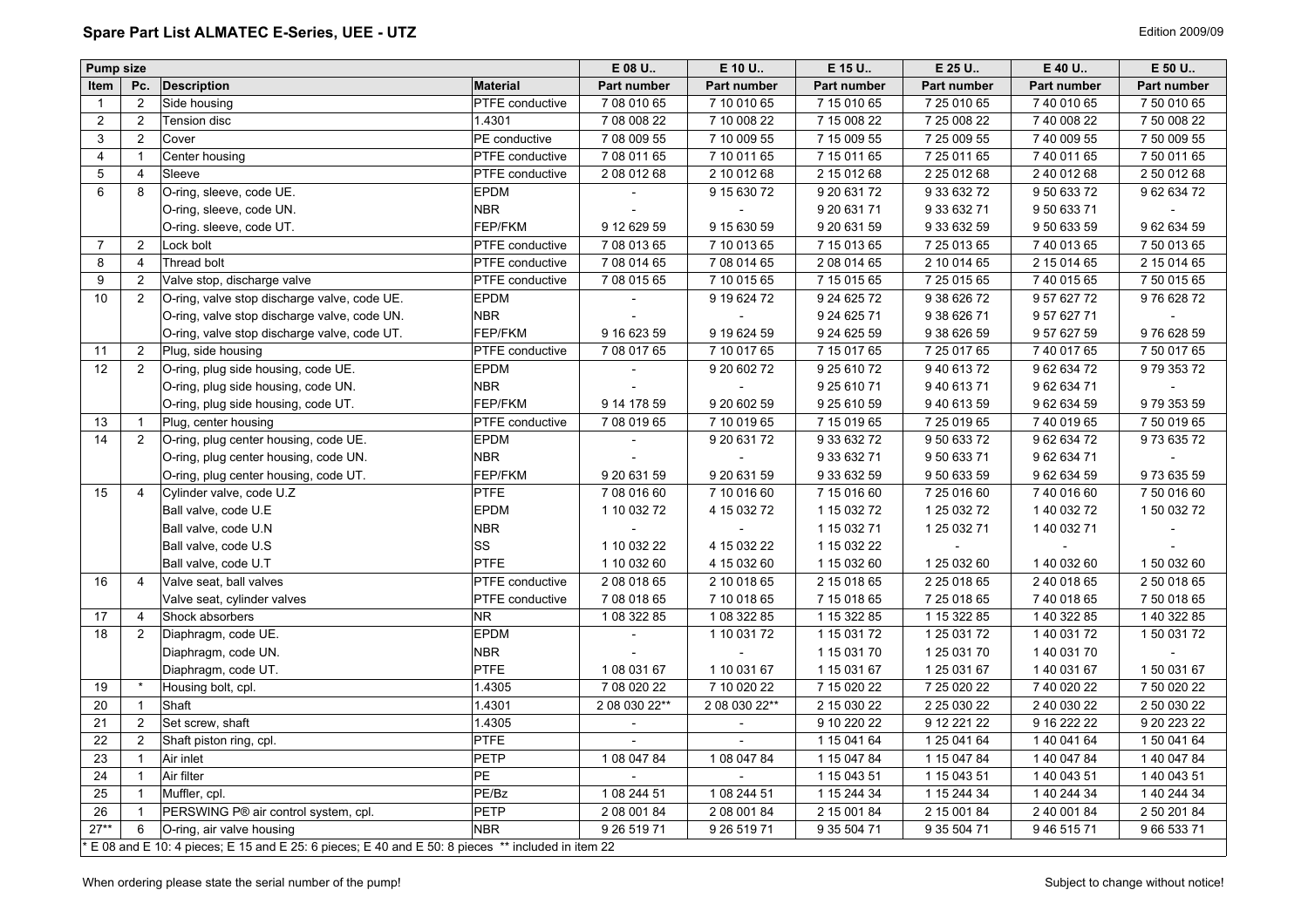# <span id="page-4-0"></span>Spare Part List ALMATEC E-Series, UEE - UTZ **Alle and Series and Series and Series and Series** Edition 2009/09

| <b>Pump size</b> |                |                                                                                                  |                        | E 08 U.                     | E 10 U.       | E 15 U.      | E 25 U.      | E 40 U.      | E 50 U.      |
|------------------|----------------|--------------------------------------------------------------------------------------------------|------------------------|-----------------------------|---------------|--------------|--------------|--------------|--------------|
| Item             | Pc.            | <b>Description</b>                                                                               | <b>Material</b>        | Part number                 | Part number   | Part number  | Part number  | Part number  | Part number  |
| $\overline{1}$   | $\overline{2}$ | Side housing                                                                                     | PTFE conductive        | 7 08 010 65                 | 7 10 010 65   | 7 15 010 65  | 7 25 010 65  | 7 40 010 65  | 7 50 010 65  |
| $\overline{2}$   | $\overline{2}$ | Tension disc                                                                                     | 1.4301                 | 7 08 008 22                 | 7 10 008 22   | 7 15 008 22  | 7 25 008 22  | 7 40 008 22  | 7 50 008 22  |
| 3                | 2              | Cover                                                                                            | PE conductive          | 7 08 009 55                 | 7 10 009 55   | 7 15 009 55  | 7 25 009 55  | 7 40 009 55  | 7 50 009 55  |
| 4                | $\mathbf{1}$   | Center housing                                                                                   | PTFE conductive        | 7 08 011 65                 | 7 10 011 65   | 7 15 011 65  | 7 25 011 65  | 7 40 011 65  | 7 50 011 65  |
| $\overline{5}$   | $\overline{4}$ | Sleeve                                                                                           | <b>PTFE</b> conductive | 2 08 012 68                 | 2 10 012 68   | 2 15 012 68  | 2 25 012 68  | 2 40 012 68  | 2 50 012 68  |
| $\,6\,$          | 8              | O-ring, sleeve, code UE.                                                                         | <b>EPDM</b>            |                             | 9 15 630 72   | 9 20 631 72  | 9 33 632 72  | 9 50 633 72  | 96263472     |
|                  |                | O-ring, sleeve, code UN.                                                                         | <b>NBR</b>             |                             |               | 9 20 631 71  | 9 33 632 71  | 9 50 633 71  |              |
|                  |                | O-ring. sleeve, code UT.                                                                         | FEP/FKM                | 9 12 629 59                 | 9 15 630 59   | 9 20 631 59  | 9 33 632 59  | 9 50 633 59  | 96263459     |
| $\overline{7}$   | 2              | Lock bolt                                                                                        | PTFE conductive        | 7 08 013 65                 | 7 10 013 65   | 7 15 013 65  | 7 25 013 65  | 7 40 013 65  | 7 50 013 65  |
| 8                | $\overline{4}$ | Thread bolt                                                                                      | PTFE conductive        | 7 08 014 65                 | 7 08 014 65   | 2 08 014 65  | 2 10 014 65  | 2 15 0 14 65 | 2 15 0 14 65 |
| 9                | 2              | Valve stop, discharge valve                                                                      | PTFE conductive        | 7 08 015 65                 | 7 10 015 65   | 7 15 015 65  | 7 25 015 65  | 7 40 015 65  | 7 50 015 65  |
| 10               | 2              | O-ring, valve stop discharge valve, code UE.                                                     | <b>EPDM</b>            |                             | 9 19 6 24 72  | 9 24 6 25 72 | 9 38 6 26 72 | 9 57 627 72  | 976 628 72   |
|                  |                | O-ring, valve stop discharge valve, code UN.                                                     | <b>NBR</b>             |                             |               | 9 24 6 25 71 | 9 38 6 26 71 | 9 57 627 71  |              |
|                  |                | O-ring, valve stop discharge valve, code UT.                                                     | FEP/FKM                | 9 16 623 59                 | 9 19 624 59   | 9 24 6 25 59 | 9 38 6 26 59 | 9 57 627 59  | 976 628 59   |
| 11               | $\overline{2}$ | Plug, side housing                                                                               | PTFE conductive        | 7 08 017 65                 | 7 10 017 65   | 7 15 017 65  | 7 25 017 65  | 7 40 017 65  | 7 50 017 65  |
| 12               | 2              | O-ring, plug side housing, code UE.                                                              | EPDM                   |                             | 9 20 602 72   | 9 25 610 72  | 9 40 613 72  | 96263472     | 97935372     |
|                  |                | O-ring, plug side housing, code UN.                                                              | <b>NBR</b>             |                             |               | 9 25 610 71  | 9 40 613 71  | 9 62 634 71  |              |
|                  |                | O-ring, plug side housing, code UT.                                                              | FEP/FKM                | 9 14 178 59                 | 9 20 602 59   | 9 25 610 59  | 9 40 613 59  | 96263459     | 979 353 59   |
| 13               | $\mathbf{1}$   | Plug, center housing                                                                             | PTFE conductive        | 7 08 019 65                 | 7 10 019 65   | 7 15 019 65  | 7 25 019 65  | 7 40 019 65  | 7 50 019 65  |
| 14               | 2              | O-ring, plug center housing, code UE.                                                            | EPDM                   | $\overline{\phantom{a}}$    | 9 20 631 72   | 9 33 632 72  | 9 50 633 72  | 96263472     | 97363572     |
|                  |                | O-ring, plug center housing, code UN.                                                            | <b>NBR</b>             |                             |               | 9 33 632 71  | 9 50 633 71  | 96263471     |              |
|                  |                | O-ring, plug center housing, code UT.                                                            | FEP/FKM                | 9 20 631 59                 | 9 20 631 59   | 9 33 632 59  | 9 50 633 59  | 96263459     | 97363559     |
| 15               | $\overline{4}$ | Cylinder valve, code U.Z                                                                         | <b>PTFE</b>            | 7 08 016 60                 | 7 10 016 60   | 7 15 016 60  | 7 25 016 60  | 7 40 016 60  | 7 50 016 60  |
|                  |                | Ball valve, code U.E                                                                             | <b>EPDM</b>            | 1 10 032 72                 | 4 15 032 72   | 1 15 032 72  | 1 25 0 32 72 | 1 40 032 72  | 1 50 032 72  |
|                  |                | Ball valve, code U.N.                                                                            | <b>NBR</b>             |                             |               | 1 15 0 32 71 | 1 25 0 32 71 | 1 40 032 71  |              |
|                  |                | Ball valve, code U.S.                                                                            | SS                     | 1 10 032 22                 | 4 15 032 22   | 1 15 0 32 22 |              |              |              |
|                  |                | Ball valve, code U.T                                                                             | <b>PTFE</b>            | 1 10 032 60                 | 4 15 032 60   | 1 15 032 60  | 1 25 0 32 60 | 1 40 032 60  | 1 50 032 60  |
| 16               | $\overline{4}$ | Valve seat, ball valves                                                                          | PTFE conductive        | 2 08 018 65                 | 2 10 018 65   | 2 15 018 65  | 2 25 018 65  | 2 40 018 65  | 2 50 018 65  |
|                  |                | Valve seat, cylinder valves                                                                      | PTFE conductive        | 7 08 018 65                 | 7 10 018 65   | 7 15 018 65  | 7 25 018 65  | 7 40 018 65  | 7 50 018 65  |
| 17               | $\overline{4}$ | Shock absorbers                                                                                  | NR.                    | 1 08 322 85                 | 1 08 322 85   | 1 15 322 85  | 1 15 322 85  | 1 40 322 85  | 1 40 322 85  |
| 18               | 2              | Diaphragm, code UE.                                                                              | EPDM                   |                             | 1 10 031 72   | 1 15 031 72  | 1 25 0 31 72 | 1 40 031 72  | 1 50 031 72  |
|                  |                | Diaphragm, code UN.                                                                              | <b>NBR</b>             |                             |               | 1 15 0 31 70 | 1 25 0 31 70 | 140 031 70   |              |
|                  |                | Diaphragm, code UT.                                                                              | <b>PTFE</b>            | 1 08 031 67                 | 1 10 031 67   | 1 15 0 31 67 | 1 25 0 31 67 | 1 40 031 67  | 150 031 67   |
| 19               | $\star$        | Housing bolt, cpl.                                                                               | 1.4305                 | 7 08 020 22                 | 7 10 020 22   | 7 15 0 20 22 | 7 25 0 20 22 | 7 40 020 22  | 7 50 020 22  |
| 20               | $\overline{1}$ | Shaft                                                                                            | 1.4301                 | 2 08 030 22**               | 2 08 030 22** | 2 15 030 22  | 2 25 0 30 22 | 2 40 030 22  | 2 50 030 22  |
| 21               | $\overline{2}$ | Set screw, shaft                                                                                 | 1.4305                 | $\mathcal{L}_{\mathcal{A}}$ | $\mathbf{r}$  | 9 10 220 22  | 9 12 221 22  | 9 16 222 22  | 9 20 223 22  |
| 22               | 2              | Shaft piston ring, cpl.                                                                          | <b>PTFE</b>            |                             |               | 1 15 041 64  | 1 25 041 64  | 1 40 041 64  | 150 041 64   |
| 23               | $\overline{1}$ | Air inlet                                                                                        | <b>PETP</b>            | 1 08 047 84                 | 1 08 047 84   | 1 15 047 84  | 1 15 047 84  | 1 40 047 84  | 1 40 047 84  |
| 24               | $\mathbf{1}$   | Air filter                                                                                       | <b>PE</b>              |                             |               | 1 15 043 51  | 1 15 043 51  | 1 40 043 51  | 1 40 043 51  |
| $\overline{25}$  | $\mathbf{1}$   | Muffler, cpl.                                                                                    | PE/Bz                  | 1 08 244 51                 | 1 08 244 51   | 1 15 244 34  | 1 15 244 34  | 1 40 244 34  | 1 40 244 34  |
| 26               | $\mathbf{1}$   | PERSWING P® air control system, cpl.                                                             | PETP                   | 2 08 001 84                 | 2 08 001 84   | 2 15 001 84  | 2 15 001 84  | 2 40 001 84  | 2 50 201 84  |
| $27**$           | 6              | O-ring, air valve housing                                                                        | <b>NBR</b>             | 9 26 519 71                 | 9 26 519 71   | 9 35 504 71  | 9 35 504 71  | 9 46 515 71  | 9 66 533 71  |
|                  |                | E 08 and E 10: 4 pieces; E 15 and E 25: 6 pieces; E 40 and E 50: 8 pieces ** included in item 22 |                        |                             |               |              |              |              |              |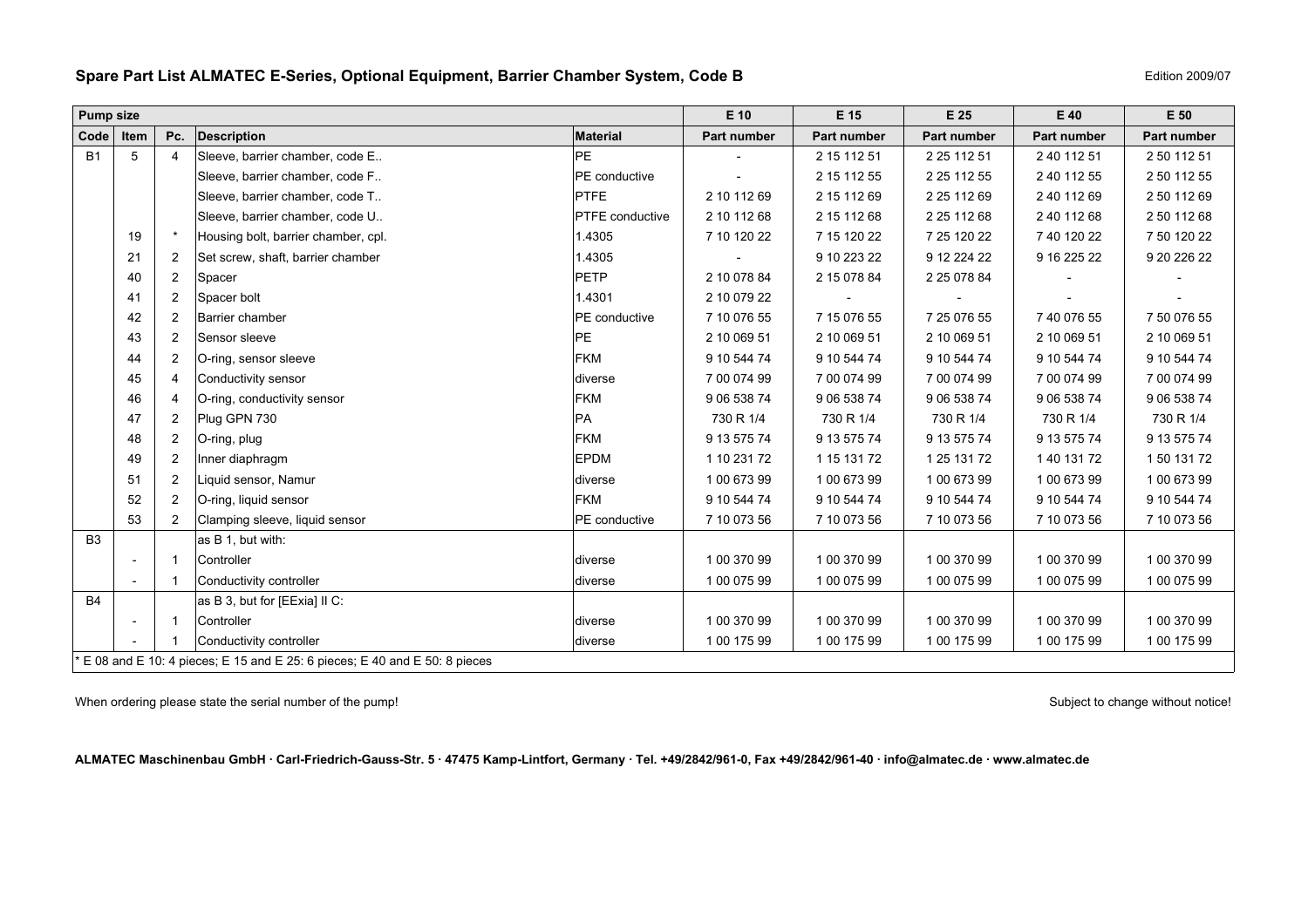|           | <b>Pump size</b> |     |                                     | $E$ 10                 | E 15        | E 25        | E 40        | E 50        |                    |
|-----------|------------------|-----|-------------------------------------|------------------------|-------------|-------------|-------------|-------------|--------------------|
| Code      | Item             | Pc. | <b>Description</b>                  | <b>Material</b>        | Part number | Part number | Part number | Part number | <b>Part number</b> |
| <b>B1</b> | ີວ               | 4   | Sleeve, barrier chamber, code E     | <b>PE</b>              |             | 2 15 112 51 | 2 25 112 51 | 2 40 112 51 | 2 50 112 51        |
|           |                  |     | Sleeve, barrier chamber, code F     | <b>PE</b> conductive   |             | 2 15 112 55 | 2 25 112 55 | 2 40 112 55 | 2 50 112 55        |
|           |                  |     | Sleeve, barrier chamber, code T     | <b>PTFE</b>            | 2 10 112 69 | 2 15 112 69 | 2 25 112 69 | 2 40 112 69 | 2 50 112 69        |
|           |                  |     | Sleeve, barrier chamber, code U.    | <b>PTFE</b> conductive | 2 10 112 68 | 2 15 112 68 | 2 25 112 68 | 2 40 112 68 | 2 50 112 68        |
|           | 19               |     | Housing bolt, barrier chamber, cpl. | 1.4305                 | 7 10 120 22 | 7 15 120 22 | 7 25 120 22 | 7 40 120 22 | 7 50 120 22        |
|           | 21               |     | Set screw, shaft, barrier chamber   | 1.4305                 |             | 9 10 223 22 | 9 12 224 22 | 9 16 225 22 | 9 20 226 22        |
|           |                  |     |                                     |                        |             |             |             |             |                    |

### <span id="page-5-0"></span>**Spare Part List ALMATEC E-Series, Optional Equipment, Barrier Chamber System, Code B Equipment Allows 2009/07**

B1 | 5 | 4 |Sleeve, barrier chamber, code E.. | PE 2 15 112 51 | 2 25 112 51 | 2 40 112 51 | 2 50 112 51 Sleeve, barrier chamber, code F.. |PE conductive | - 2 15 112 55 | 2 25 112 55 | 2 20 112 55 | 2 50 112 55 Sleeve, barrier chamber, code T.. |PTFE | 2 10 112 69 | 2 15 112 69 | 2 25 112 69 | 2 25 112 69 | 2 50 112 69 Sleeve, barrier chamber, code U.. |PTFE conductive | 2 10 112 68 2 15 112 68 2 25 112 68 2 25 112 68 2 50 112 68 19 | \* |Housing bolt, barrier chamber, cpl. | 1.4305 | 7 10 120 22 | 7 25 120 22 | 7 10 120 22 | 7 40 120 22 | 7 50 120 22 21 2 Set screw, shaft, barrier chamber 1.4305 - 9 10 223 22 9 12 224 22 9 16 225 22 9 20 226 22 40 2 Spacer PETP 2 10 078 84 2 15 078 84 2 25 078 84 - - 41 2 Spacer bolt 1.4301 2 10 079 22 ---- 42 2 Barrier chamber PE conductive 7 10 076 55 7 15 076 55 7 25 076 55 7 40 076 55 7 50 076 5543 2 Sensor sleeve PE 2 10 069 51 2 10 069 51 2 10 069 51 2 10 069 51 2 10 069 5144 2 O-ring, sensor sleeve **FKM** FKM 9 10 544 74 9 10 544 74 9 10 544 74 9 10 544 74 9 10 544 74 9 10 544 74 45 | 4 |Conductivity sensor |diverse | 7 00 074 99 | 7 00 074 99 | 7 00 074 99 | 7 00 074 99 | 7 00 074 99 | 7 00 074 99 46 4 O-ring, conductivity sensor **FKM** 9 06 538 74 9 06 538 74 9 06 538 74 9 06 538 74 9 906 538 74 9 06 538 74 47 2 Plug GPN 730 PA 730 R 1/4 730 R 1/4 730 R 1/4 730 R 1/4 730 R 1/4 48 2 O-ring, plug FKM 9 13 575 74 9 13 575 74 9 13 575 74 9 13 575 74 9 13 575 74 49 2 Inner diaphragm EPDM 1 10 231 72 1 15 131 72 1 25 131 72 1 40 131 72 1 50 131 72 51 2 Liquid sensor, Namur diverse 1 00 673 99 1 00 673 99 1 00 673 99 1 100 673 99 1 100 673 99 1 1 00 673 99 52 2 O-ring, liquid sensor FKM 9 10 544 74 9 10 544 74 9 10 544 74 9 10 544 74 9 10 544 74 53 2 Clamping sleeve, liquid sensor PE conductive 7 10 073 56 7 10 073 56 7 10 073 56 7 10 073 56 7 10 073 56 B3 as B 1, but with: - 1 Controller diverse 1 00 370 99 1 00 370 99 1 00 370 99 1 00 370 99 1 00 370 991 Conductivity controller example to the controller controller controller to the conductivity controller to the controller to the controller to the controller to the controller controller to the controller to the controlle B4 as B 3, but for [EExia] II C: 1 Controller diverse 1 00 370 99 1 00 370 99 1 00 370 99 1 00 370 99 1 00 370 99 1 Conductivity controller diverse 1 00 175 99 1 00 175 99 1 00 175 99 1 00 175 99 1 00 175 99  $E$  08 and E 10: 4 pieces; E 15 and E 25: 6 pieces; E 40 and E 50: 8 pieces

When ordering please state the serial number of the pump! Subject to change without notice!

**ALMATEC Maschinenbau GmbH · Carl-Friedrich-Gauss-Str. 5 · 47475 Kamp-Lintfort, Germany · Tel. +49/2842/961-0, Fax +49/2842/961-40 · info@almatec.de · www.almatec.de**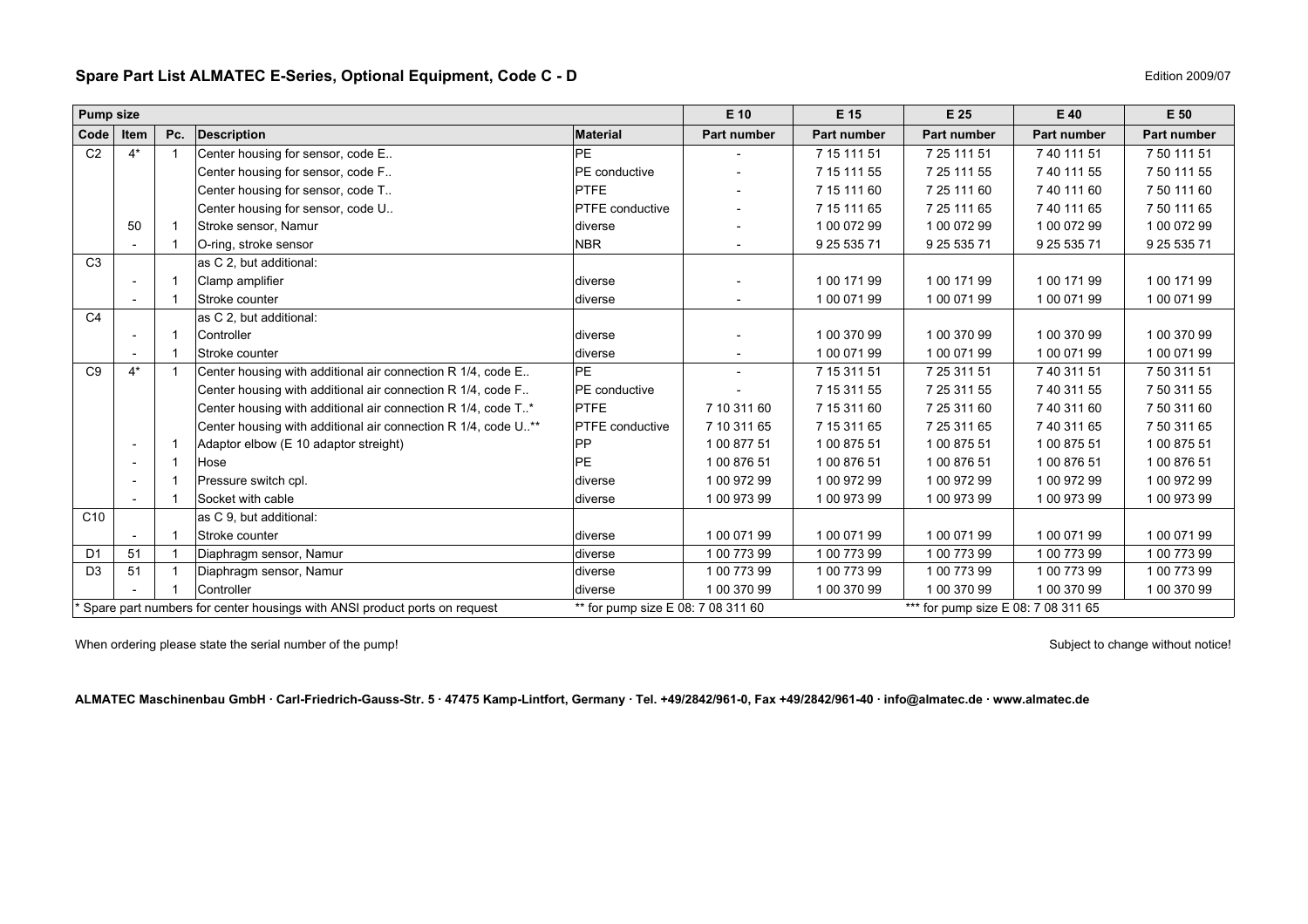## <span id="page-6-0"></span>**Spare Part List ALMATEC E-Series, Optional Equipment, Code C - D**

| Edition 2009/07 |
|-----------------|

| <b>Pump size</b> |                          |     |                                                                           |                                    | E 10        | E 15        | E 25                                | E 40        | E 50        |
|------------------|--------------------------|-----|---------------------------------------------------------------------------|------------------------------------|-------------|-------------|-------------------------------------|-------------|-------------|
| Code             | Item                     | Pc. | <b>Description</b>                                                        | <b>Material</b>                    | Part number | Part number | Part number                         | Part number | Part number |
| C <sub>2</sub>   | $4^*$                    |     | Center housing for sensor, code E                                         | <b>PE</b>                          |             | 7 15 111 51 | 7 25 111 51                         | 7 40 111 51 | 7 50 111 51 |
|                  |                          |     | Center housing for sensor, code F                                         | PE conductive                      |             | 7 15 111 55 | 7 25 111 55                         | 7 40 111 55 | 7 50 111 55 |
|                  |                          |     | Center housing for sensor, code T                                         | <b>PTFE</b>                        |             | 7 15 111 60 | 7 25 111 60                         | 7 40 111 60 | 7 50 111 60 |
|                  |                          |     | Center housing for sensor, code U                                         | <b>PTFE</b> conductive             |             | 7 15 111 65 | 7 25 111 65                         | 7 40 111 65 | 7 50 111 65 |
|                  | 50                       |     | Stroke sensor, Namur                                                      | diverse                            |             | 1 00 072 99 | 1 00 072 99                         | 1 00 072 99 | 1 00 072 99 |
|                  |                          |     | O-ring, stroke sensor                                                     | <b>NBR</b>                         |             | 9 25 535 71 | 9 25 535 71                         | 9 25 535 71 | 9 25 535 71 |
| C <sub>3</sub>   |                          |     | as C 2, but additional:                                                   |                                    |             |             |                                     |             |             |
|                  |                          |     | Clamp amplifier                                                           | diverse                            |             | 1 00 171 99 | 1 00 171 99                         | 1 00 171 99 | 1 00 171 99 |
|                  |                          |     | Stroke counter                                                            | diverse                            |             | 1 00 071 99 | 1 00 071 99                         | 1 00 071 99 | 1 00 071 99 |
| C <sub>4</sub>   |                          |     | as C 2, but additional:                                                   |                                    |             |             |                                     |             |             |
|                  |                          |     | Controller                                                                | diverse                            |             | 1 00 370 99 | 1 00 370 99                         | 1 00 370 99 | 1 00 370 99 |
|                  |                          |     | Stroke counter                                                            | diverse                            |             | 1 00 071 99 | 1 00 071 99                         | 1 00 071 99 | 1 00 071 99 |
| C <sub>9</sub>   | $4^*$                    |     | Center housing with additional air connection R 1/4, code E               | <b>PE</b>                          |             | 7 15 311 51 | 7 25 311 51                         | 7 40 311 51 | 7 50 311 51 |
|                  |                          |     | Center housing with additional air connection R 1/4, code F               | PE conductive                      |             | 7 15 311 55 | 7 25 311 55                         | 7 40 311 55 | 7 50 311 55 |
|                  |                          |     | Center housing with additional air connection R 1/4, code T*              | <b>PTFE</b>                        | 7 10 311 60 | 7 15 311 60 | 7 25 311 60                         | 7 40 311 60 | 7 50 311 60 |
|                  |                          |     | Center housing with additional air connection R 1/4, code U.**            | PTFE conductive                    | 7 10 311 65 | 7 15 311 65 | 7 25 311 65                         | 7 40 311 65 | 7 50 311 65 |
|                  | $\overline{\phantom{a}}$ |     | Adaptor elbow (E 10 adaptor streight)                                     | PP                                 | 1 00 877 51 | 1 00 875 51 | 1 00 875 51                         | 1 00 875 51 | 1 00 875 51 |
|                  | $\overline{\phantom{a}}$ |     | Hose                                                                      | PE.                                | 1 00 876 51 | 1 00 876 51 | 1 00 876 51                         | 1 00 876 51 | 1 00 876 51 |
|                  |                          |     | Pressure switch cpl.                                                      | diverse                            | 1 00 972 99 | 1 00 972 99 | 1 00 972 99                         | 1 00 972 99 | 1 00 972 99 |
|                  |                          |     | Socket with cable                                                         | ldiverse                           | 1 00 973 99 | 1 00 973 99 | 1 00 973 99                         | 1 00 973 99 | 1 00 973 99 |
| C <sub>10</sub>  |                          |     | as C 9, but additional:                                                   |                                    |             |             |                                     |             |             |
|                  |                          |     | Stroke counter                                                            | diverse                            | 1 00 071 99 | 1 00 071 99 | 1 00 071 99                         | 1 00 071 99 | 1 00 071 99 |
| D <sub>1</sub>   | 51                       |     | Diaphragm sensor, Namur                                                   | diverse                            | 1 00 773 99 | 1 00 773 99 | 1 00 773 99                         | 1 00 773 99 | 1 00 773 99 |
| D <sub>3</sub>   | 51                       |     | Diaphragm sensor, Namur                                                   | diverse                            | 1 00 773 99 | 1 00 773 99 | 1 00 773 99                         | 1 00 773 99 | 1 00 773 99 |
|                  |                          |     | Controller                                                                | diverse                            | 1 00 370 99 | 1 00 370 99 | 1 00 370 99                         | 1 00 370 99 | 1 00 370 99 |
|                  |                          |     | Spare part numbers for center housings with ANSI product ports on request | ** for pump size E 08: 7 08 311 60 |             |             | *** for pump size E 08: 7 08 311 65 |             |             |

When ordering please state the serial number of the pump!<br>
Subject to change without notice!

**ALMATEC Maschinenbau GmbH · Carl-Friedrich-Gauss-Str. 5 · 47475 Kamp-Lintfort, Germany · Tel. +49/2842/961-0, Fax +49/2842/961-40 · info@almatec.de · www.almatec.de**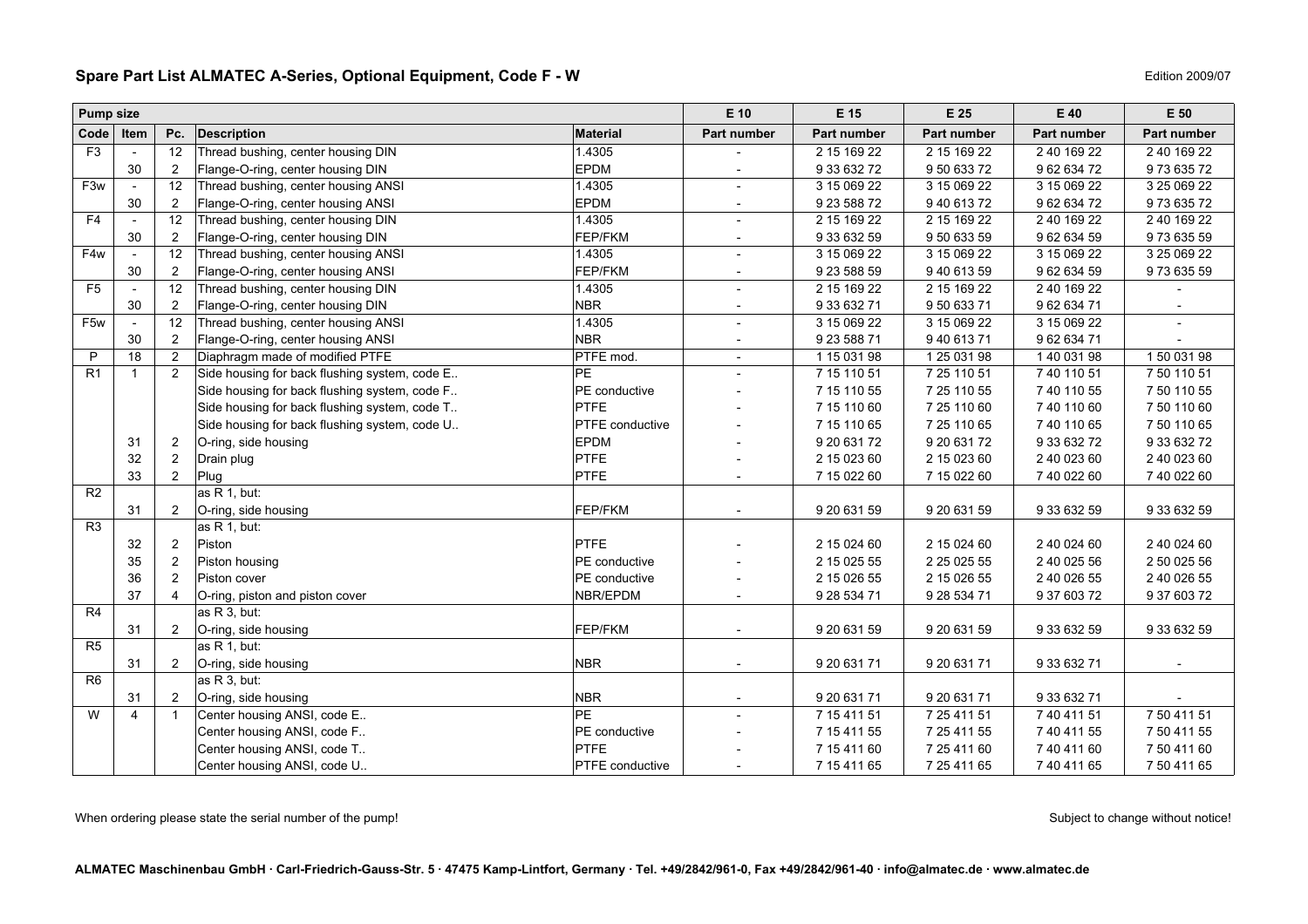### <span id="page-7-0"></span>**Spare Part List ALMATEC A-Series, Optional Equipment, Code F - W**

| W | Edition 2009/07 |
|---|-----------------|
|---|-----------------|

| <b>Pump size</b> |                          |                |                                               |                 | E 10                     | E 15         | E 25               | E 40               | E 50                     |
|------------------|--------------------------|----------------|-----------------------------------------------|-----------------|--------------------------|--------------|--------------------|--------------------|--------------------------|
| Code             | Item                     | Pc.            | Description                                   | <b>Material</b> | <b>Part number</b>       | Part number  | <b>Part number</b> | <b>Part number</b> | Part number              |
| F <sub>3</sub>   |                          | 12             | Thread bushing, center housing DIN            | 1.4305          |                          | 2 15 169 22  | 2 15 169 22        | 2 40 169 22        | 2 40 169 22              |
|                  | 30                       | $\overline{2}$ | Flange-O-ring, center housing DIN             | EPDM            |                          | 9 33 632 72  | 9 50 633 72        | 9 62 634 72        | 97363572                 |
| F <sub>3w</sub>  | $\mathcal{L}$            | 12             | Thread bushing, center housing ANSI           | 1.4305          |                          | 3 15 069 22  | 3 15 069 22        | 3 15 069 22        | 3 25 069 22              |
|                  | 30                       | $\overline{2}$ | Flange-O-ring, center housing ANSI            | <b>EPDM</b>     |                          | 9 23 588 72  | 94061372           | 9 62 634 72        | 97363572                 |
| F <sub>4</sub>   | $\mathbf{r}$             | 12             | Thread bushing, center housing DIN            | 1.4305          |                          | 2 15 169 22  | 2 15 169 22        | 2 40 169 22        | 2 40 169 22              |
|                  | 30                       | $\overline{2}$ | Flange-O-ring, center housing DIN             | FEP/FKM         |                          | 9 33 632 59  | 9 50 633 59        | 9 62 634 59        | 97363559                 |
| F4w              | $\overline{\phantom{a}}$ | 12             | Thread bushing, center housing ANSI           | 1.4305          |                          | 3 15 069 22  | 3 15 069 22        | 3 15 069 22        | 3 25 069 22              |
|                  | 30                       | 2              | Flange-O-ring, center housing ANSI            | FEP/FKM         |                          | 9 23 588 59  | 94061359           | 9 62 634 59        | 97363559                 |
| F <sub>5</sub>   |                          | 12             | Thread bushing, center housing DIN            | 1.4305          |                          | 2 15 169 22  | 2 15 169 22        | 2 40 169 22        |                          |
|                  | 30                       | 2              | Flange-O-ring, center housing DIN             | <b>NBR</b>      |                          | 9 33 632 71  | 9 50 633 71        | 9 62 634 71        |                          |
| F <sub>5w</sub>  |                          | 12             | Thread bushing, center housing ANSI           | 1.4305          |                          | 3 15 069 22  | 3 15 069 22        | 3 15 069 22        |                          |
|                  | 30                       | $\overline{2}$ | Flange-O-ring, center housing ANSI            | <b>NBR</b>      |                          | 9 23 588 71  | 9 40 613 71        | 9 62 634 71        |                          |
| P                | $\overline{18}$          | $\overline{2}$ | Diaphragm made of modified PTFE               | PTFE mod.       | $\overline{\phantom{a}}$ | 1 15 031 98  | 1 25 0 31 98       | 1 40 031 98        | 150 031 98               |
| R1               | $\mathbf{1}$             | 2              | Side housing for back flushing system, code E | PE              |                          | 7 15 110 51  | 7 25 110 51        | 7 40 110 51        | 7 50 110 51              |
|                  |                          |                | Side housing for back flushing system, code F | PE conductive   |                          | 7 15 110 55  | 7 25 110 55        | 7 40 110 55        | 7 50 110 55              |
|                  |                          |                | Side housing for back flushing system, code T | PTFE            |                          | 7 15 110 60  | 7 25 110 60        | 7 40 110 60        | 7 50 110 60              |
|                  |                          |                | Side housing for back flushing system, code U | PTFE conductive |                          | 7 15 110 65  | 7 25 110 65        | 7 40 110 65        | 7 50 110 65              |
|                  | 31                       | 2              | O-ring, side housing                          | <b>EPDM</b>     |                          | 9 20 631 72  | 9 20 631 72        | 9 33 632 72        | 9 33 632 72              |
|                  | 32                       | 2              | Drain plug                                    | PTFE            |                          | 2 15 0 23 60 | 2 15 0 23 60       | 2 40 023 60        | 2 40 023 60              |
|                  | 33                       | 2              | Plug                                          | PTFE            |                          | 7 15 022 60  | 7 15 022 60        | 7 40 022 60        | 7 40 022 60              |
| R <sub>2</sub>   |                          |                | as R 1, but:                                  |                 |                          |              |                    |                    |                          |
|                  | 31                       | $\overline{2}$ | O-ring, side housing                          | FEP/FKM         |                          | 9 20 631 59  | 9 20 631 59        | 9 33 632 59        | 9 33 632 59              |
| R <sub>3</sub>   |                          |                | as R 1, but:                                  |                 |                          |              |                    |                    |                          |
|                  | 32                       | $\overline{2}$ | Piston                                        | PTFE            |                          | 2 15 0 24 60 | 2 15 0 24 60       | 2 40 0 24 60       | 2 40 0 24 60             |
|                  | 35                       | 2              | Piston housing                                | PE conductive   |                          | 2 15 0 25 55 | 2 25 0 25 55       | 2 40 0 25 56       | 2 50 0 25 56             |
|                  | 36                       | $\overline{2}$ | Piston cover                                  | PE conductive   |                          | 2 15 0 26 55 | 2 15 0 26 55       | 2 40 0 26 55       | 2 40 0 26 55             |
|                  | 37                       | 4              | O-ring, piston and piston cover               | NBR/EPDM        |                          | 9 28 534 71  | 9 28 534 71        | 9 37 603 72        | 9 37 603 72              |
| R4               |                          |                | as R 3, but:                                  |                 |                          |              |                    |                    |                          |
|                  | 31                       | 2              | O-ring, side housing                          | FEP/FKM         |                          | 9 20 631 59  | 9 20 631 59        | 9 33 632 59        | 9 33 632 59              |
| R5               |                          |                | as $R$ 1. but:                                |                 |                          |              |                    |                    |                          |
|                  | 31                       | $\overline{2}$ | O-ring, side housing                          | <b>NBR</b>      | $\overline{\phantom{a}}$ | 9 20 631 71  | 9 20 631 71        | 9 33 632 71        | $\overline{\phantom{a}}$ |
| R <sub>6</sub>   |                          |                | as R 3, but:                                  |                 |                          |              |                    |                    |                          |
|                  | 31                       | 2              | O-ring, side housing                          | <b>NBR</b>      | $\overline{\phantom{a}}$ | 9 20 631 71  | 9 20 631 71        | 9 33 632 71        |                          |
| W                | $\overline{4}$           | $\overline{1}$ | Center housing ANSI, code E                   | PE              |                          | 7 15 411 51  | 7 25 411 51        | 7 40 411 51        | 7 50 411 51              |
|                  |                          |                | Center housing ANSI, code F                   | PE conductive   |                          | 7 15 411 55  | 7 25 411 55        | 7 40 411 55        | 7 50 411 55              |
|                  |                          |                | Center housing ANSI, code T                   | <b>PTFE</b>     |                          | 7 15 411 60  | 7 25 411 60        | 7 40 411 60        | 7 50 411 60              |
|                  |                          |                | Center housing ANSI, code U                   | PTFE conductive |                          | 7 15 411 65  | 7 25 411 65        | 7 40 411 65        | 7 50 411 65              |

When ordering please state the serial number of the pump! Subject to change without notice!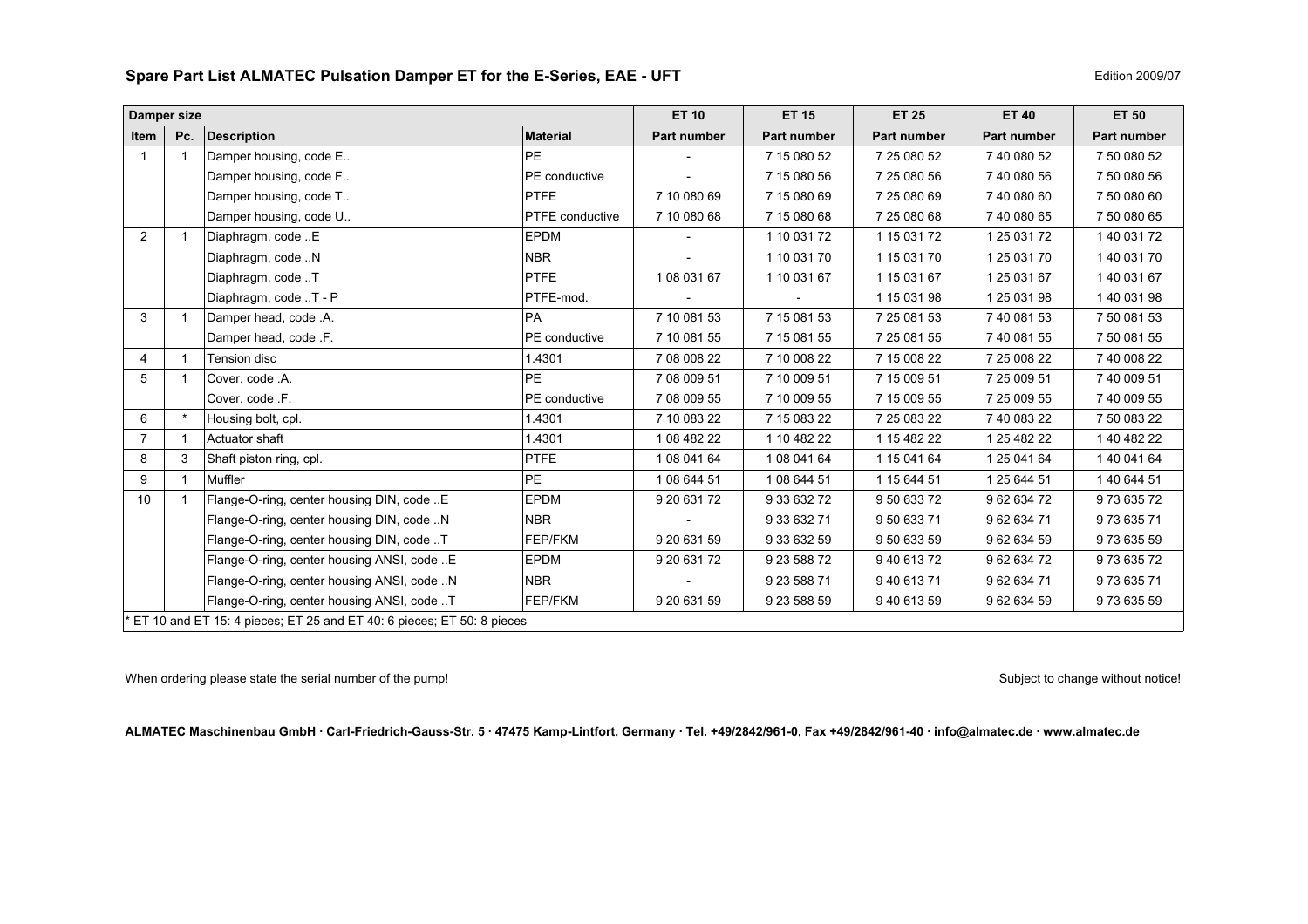### <span id="page-8-0"></span>**Spare Part List ALMATEC Pulsation Damper ET for the E-Series, EAE - UF T**

| Damper size    |                         |                                                                       |                        | <b>ET 10</b> | <b>ET 15</b> | <b>ET 25</b> | <b>ET 40</b> | <b>ET 50</b> |
|----------------|-------------------------|-----------------------------------------------------------------------|------------------------|--------------|--------------|--------------|--------------|--------------|
| <b>Item</b>    | Pc.                     | <b>Description</b>                                                    | <b>Material</b>        | Part number  | Part number  | Part number  | Part number  | Part number  |
|                | $\overline{\mathbf{1}}$ | Damper housing, code E                                                | PE                     |              | 7 15 080 52  | 7 25 080 52  | 7 40 080 52  | 7 50 080 52  |
|                |                         | Damper housing, code F                                                | PE conductive          |              | 7 15 080 56  | 7 25 080 56  | 7 40 080 56  | 7 50 080 56  |
|                |                         | Damper housing, code T                                                | <b>PTFE</b>            | 7 10 080 69  | 7 15 080 69  | 7 25 080 69  | 7 40 080 60  | 7 50 080 60  |
|                |                         | Damper housing, code U                                                | <b>PTFE</b> conductive | 7 10 080 68  | 7 15 080 68  | 7 25 080 68  | 7 40 080 65  | 7 50 080 65  |
| 2              | $\overline{1}$          | Diaphragm, code E                                                     | <b>EPDM</b>            |              | 1 10 031 72  | 1 15 0 31 72 | 1 25 0 31 72 | 1 40 031 72  |
|                |                         | Diaphragm, code N                                                     | <b>NBR</b>             |              | 1 10 031 70  | 1 15 031 70  | 1 25 0 31 70 | 1 40 031 70  |
|                |                         | Diaphragm, code T                                                     | <b>PTFE</b>            | 1 08 031 67  | 1 10 031 67  | 1 15 031 67  | 1 25 0 31 67 | 1 40 031 67  |
|                |                         | Diaphragm, code T - P                                                 | PTFE-mod.              |              |              | 1 15 031 98  | 1 25 0 31 98 | 1 40 031 98  |
| 3              | -1                      | Damper head, code .A.                                                 | <b>PA</b>              | 7 10 081 53  | 7 15 081 53  | 7 25 081 53  | 740 081 53   | 7 50 081 53  |
|                |                         | Damper head, code .F.                                                 | PE conductive          | 7 10 081 55  | 7 15 081 55  | 7 25 081 55  | 7 40 081 55  | 7 50 081 55  |
| 4              |                         | Tension disc                                                          | 1.4301                 | 7 08 008 22  | 7 10 008 22  | 7 15 008 22  | 7 25 008 22  | 7 40 008 22  |
| 5              | -1                      | Cover, code .A.                                                       | PE                     | 7 08 009 51  | 7 10 009 51  | 7 15 009 51  | 7 25 009 51  | 740 009 51   |
|                |                         | Cover, code .F.                                                       | PE conductive          | 7 08 009 55  | 7 10 009 55  | 7 15 009 55  | 7 25 009 55  | 7 40 009 55  |
| 6              | $\star$                 | Housing bolt, cpl.                                                    | 1.4301                 | 7 10 083 22  | 7 15 083 22  | 7 25 083 22  | 740 083 22   | 7 50 083 22  |
| $\overline{7}$ | $\overline{1}$          | Actuator shaft                                                        | 1.4301                 | 1 08 482 22  | 1 10 482 22  | 1 15 482 22  | 1 25 4 82 22 | 1 40 482 22  |
| 8              | 3                       | Shaft piston ring, cpl.                                               | <b>PTFE</b>            | 1 08 041 64  | 1 08 041 64  | 1 15 041 64  | 1 25 041 64  | 1 40 041 64  |
| 9              |                         | Muffler                                                               | PE                     | 1 08 644 51  | 1 08 644 51  | 1 15 644 51  | 1 25 644 51  | 1 40 644 51  |
| 10             |                         | Flange-O-ring, center housing DIN, code E                             | <b>EPDM</b>            | 9 20 631 72  | 9 33 632 72  | 9 50 633 72  | 96263472     | 9 73 635 72  |
|                |                         | Flange-O-ring, center housing DIN, code N                             | <b>NBR</b>             |              | 9 33 632 71  | 950 633 71   | 96263471     | 97363571     |
|                |                         | Flange-O-ring, center housing DIN, code T                             | FEP/FKM                | 9 20 631 59  | 9 33 632 59  | 9 50 633 59  | 9 62 634 59  | 973 635 59   |
|                |                         | Flange-O-ring, center housing ANSI, code E                            | <b>EPDM</b>            | 9 20 631 72  | 9 23 588 72  | 940 613 72   | 96263472     | 97363572     |
|                |                         | Flange-O-ring, center housing ANSI, code N                            | <b>NBR</b>             |              | 9 23 588 71  | 940 613 71   | 96263471     | 973 635 71   |
|                |                         | Flange-O-ring, center housing ANSI, code T                            | FEP/FKM                | 9 20 631 59  | 9 23 588 59  | 940 613 59   | 9 62 634 59  | 973 635 59   |
|                |                         | ET 10 and ET 15: 4 pieces; ET 25 and ET 40: 6 pieces; ET 50: 8 pieces |                        |              |              |              |              |              |

When ordering please state the serial number of the pump!<br>
Subject to change without notice!

**ALMATEC Maschinenbau GmbH · Carl-Friedrich-Gauss-Str. 5 · 47475 Kamp-Lintfort, Germany · Tel. +49/2842/961-0, Fax +49/2842/961-40 · info@almatec.de · www.almatec.de**